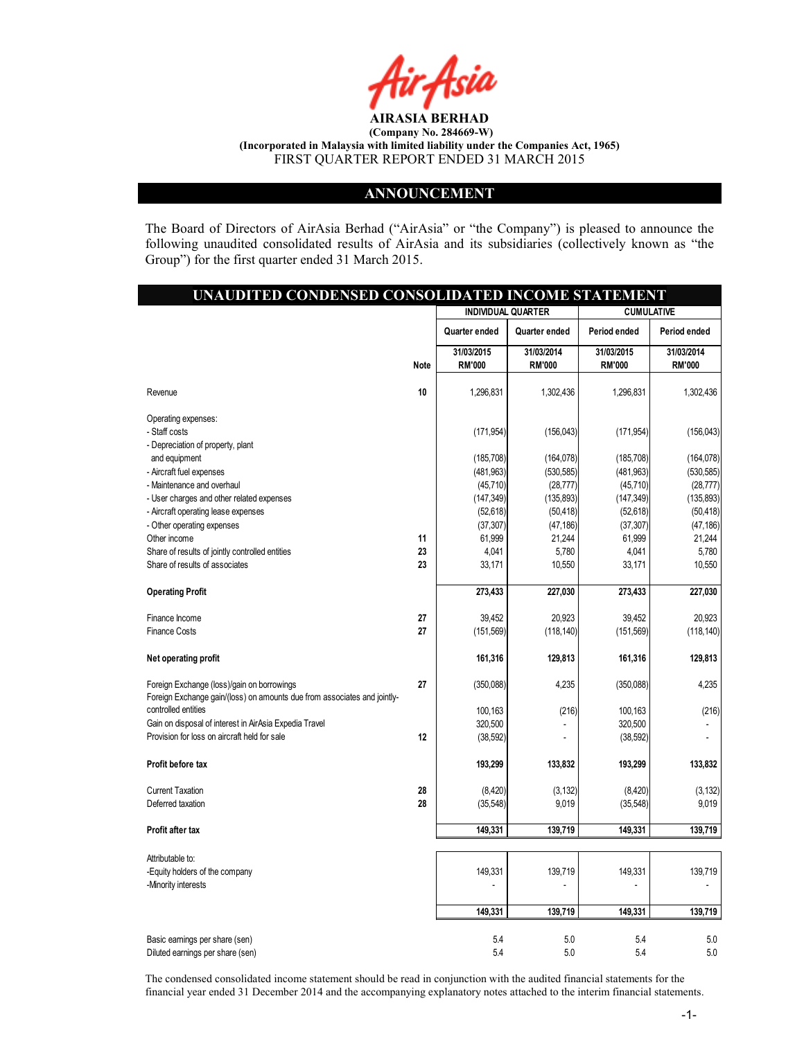

#### ANNOUNCEMENT

The Board of Directors of AirAsia Berhad ("AirAsia" or "the Company") is pleased to announce the following unaudited consolidated results of AirAsia and its subsidiaries (collectively known as "the Group") for the first quarter ended 31 March 2015.

| UNAUDITED CONDENSED CONSOLIDATED INCOME STATEMENT                                                                      |             |                             |                             |                             |                             |
|------------------------------------------------------------------------------------------------------------------------|-------------|-----------------------------|-----------------------------|-----------------------------|-----------------------------|
|                                                                                                                        |             | <b>INDIVIDUAL QUARTER</b>   |                             | <b>CUMULATIVE</b>           |                             |
|                                                                                                                        |             | Quarter ended               | Quarter ended               | Period ended                | Period ended                |
|                                                                                                                        | <b>Note</b> | 31/03/2015<br><b>RM'000</b> | 31/03/2014<br><b>RM'000</b> | 31/03/2015<br><b>RM'000</b> | 31/03/2014<br><b>RM'000</b> |
| Revenue                                                                                                                | 10          | 1,296,831                   | 1,302,436                   | 1,296,831                   | 1,302,436                   |
| Operating expenses:                                                                                                    |             |                             |                             |                             |                             |
| - Staff costs                                                                                                          |             | (171, 954)                  | (156, 043)                  | (171, 954)                  | (156, 043)                  |
| - Depreciation of property, plant                                                                                      |             |                             |                             |                             |                             |
| and equipment                                                                                                          |             | (185, 708)                  | (164, 078)                  | (185, 708)                  | (164, 078)                  |
| - Aircraft fuel expenses                                                                                               |             | (481, 963)                  | (530, 585)                  | (481, 963)                  | (530, 585)                  |
| - Maintenance and overhaul                                                                                             |             | (45, 710)                   | (28, 777)                   | (45, 710)                   | (28, 777)                   |
| - User charges and other related expenses                                                                              |             | (147, 349)                  | (135, 893)                  | (147, 349)                  | (135, 893)                  |
| - Aircraft operating lease expenses                                                                                    |             | (52, 618)                   | (50, 418)                   | (52, 618)                   | (50, 418)                   |
| - Other operating expenses                                                                                             |             | (37, 307)                   | (47, 186)                   | (37, 307)                   | (47, 186)                   |
| Other income                                                                                                           | 11          | 61,999                      | 21,244                      | 61,999                      | 21,244                      |
| Share of results of jointly controlled entities                                                                        | 23          | 4,041                       | 5,780                       | 4,041                       | 5,780                       |
| Share of results of associates                                                                                         | 23          | 33,171                      | 10,550                      | 33,171                      | 10,550                      |
| <b>Operating Profit</b>                                                                                                |             | 273,433                     | 227,030                     | 273,433                     | 227,030                     |
| Finance Income                                                                                                         | 27          | 39,452                      | 20,923                      | 39,452                      | 20,923                      |
| <b>Finance Costs</b>                                                                                                   | 27          | (151, 569)                  | (118, 140)                  | (151, 569)                  | (118, 140)                  |
| Net operating profit                                                                                                   |             | 161,316                     | 129,813                     | 161,316                     | 129,813                     |
| Foreign Exchange (loss)/gain on borrowings<br>Foreign Exchange gain/(loss) on amounts due from associates and jointly- | 27          | (350,088)                   | 4,235                       | (350,088)                   | 4,235                       |
| controlled entities                                                                                                    |             | 100,163                     | (216)                       | 100,163                     | (216)                       |
| Gain on disposal of interest in AirAsia Expedia Travel                                                                 |             | 320,500                     |                             | 320,500                     |                             |
| Provision for loss on aircraft held for sale                                                                           | 12          | (38, 592)                   |                             | (38, 592)                   |                             |
| Profit before tax                                                                                                      |             | 193,299                     | 133,832                     | 193,299                     | 133,832                     |
| <b>Current Taxation</b>                                                                                                | 28          | (8,420)                     | (3, 132)                    | (8,420)                     | (3, 132)                    |
| Deferred taxation                                                                                                      | 28          | (35, 548)                   | 9,019                       | (35, 548)                   | 9,019                       |
| Profit after tax                                                                                                       |             | 149,331                     | 139,719                     | 149,331                     | 139,719                     |
| Attributable to:                                                                                                       |             |                             |                             |                             |                             |
| -Equity holders of the company                                                                                         |             | 149,331                     | 139,719                     | 149,331                     | 139,719                     |
| -Minority interests                                                                                                    |             |                             |                             |                             |                             |
|                                                                                                                        |             | 149,331                     | 139,719                     | 149,331                     | 139,719                     |
| Basic earnings per share (sen)                                                                                         |             | 5.4                         | 5.0                         | 5.4                         | 5.0                         |
| Diluted earnings per share (sen)                                                                                       |             | 5.4                         | 5.0                         | 5.4                         | 5.0                         |

The condensed consolidated income statement should be read in conjunction with the audited financial statements for the financial year ended 31 December 2014 and the accompanying explanatory notes attached to the interim financial statements.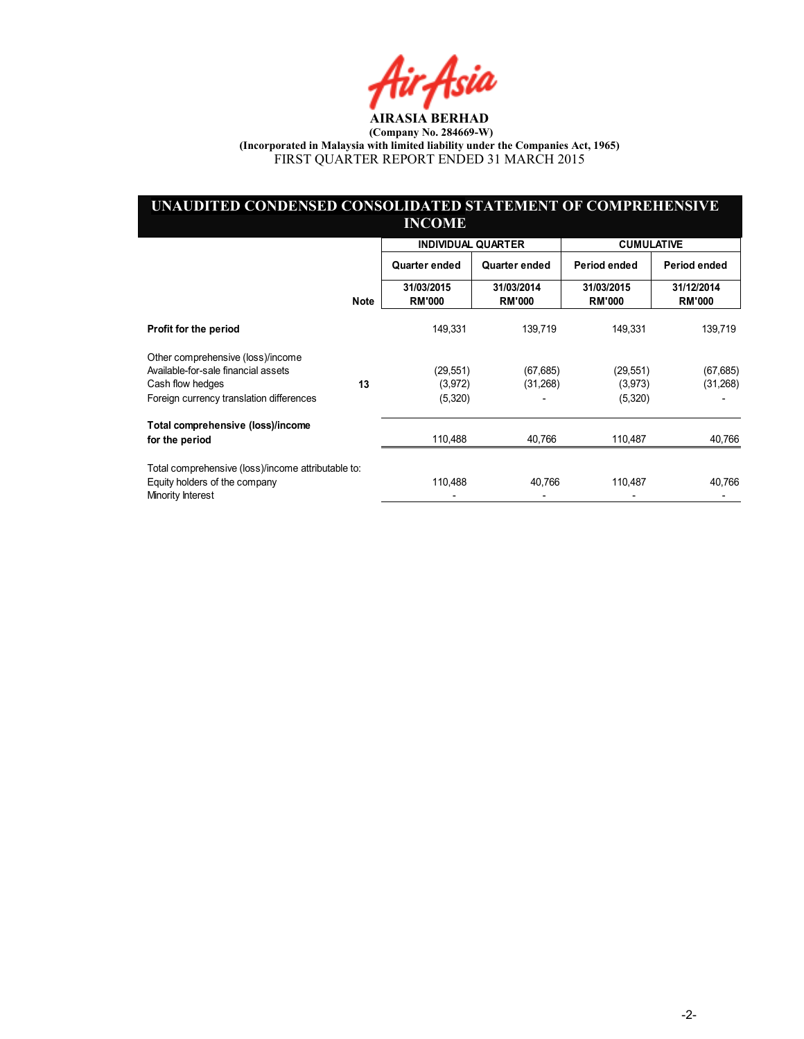fir<sub>i</sub>fsia

#### UNAUDITED CONDENSED CONSOLIDATED STATEMENT OF COMPREHENSIVE INCOME

|                                                    |             | <b>INDIVIDUAL QUARTER</b>   |                             | <b>CUMULATIVE</b>           |                             |
|----------------------------------------------------|-------------|-----------------------------|-----------------------------|-----------------------------|-----------------------------|
|                                                    |             | Quarter ended               | Quarter ended               | Period ended                | Period ended                |
|                                                    | <b>Note</b> | 31/03/2015<br><b>RM'000</b> | 31/03/2014<br><b>RM'000</b> | 31/03/2015<br><b>RM'000</b> | 31/12/2014<br><b>RM'000</b> |
| Profit for the period                              |             | 149,331                     | 139,719                     | 149,331                     | 139,719                     |
| Other comprehensive (loss)/income                  |             |                             |                             |                             |                             |
| Available-for-sale financial assets                |             | (29, 551)                   | (67, 685)                   | (29, 551)                   | (67, 685)                   |
| Cash flow hedges                                   | 13          | (3,972)                     | (31,268)                    | (3,973)                     | (31, 268)                   |
| Foreign currency translation differences           |             | (5,320)                     |                             | (5,320)                     |                             |
| Total comprehensive (loss)/income                  |             |                             |                             |                             |                             |
| for the period                                     |             | 110,488                     | 40,766                      | 110,487                     | 40,766                      |
| Total comprehensive (loss)/income attributable to: |             |                             |                             |                             |                             |
| Equity holders of the company<br>Minority Interest |             | 110,488                     | 40,766                      | 110,487                     | 40,766                      |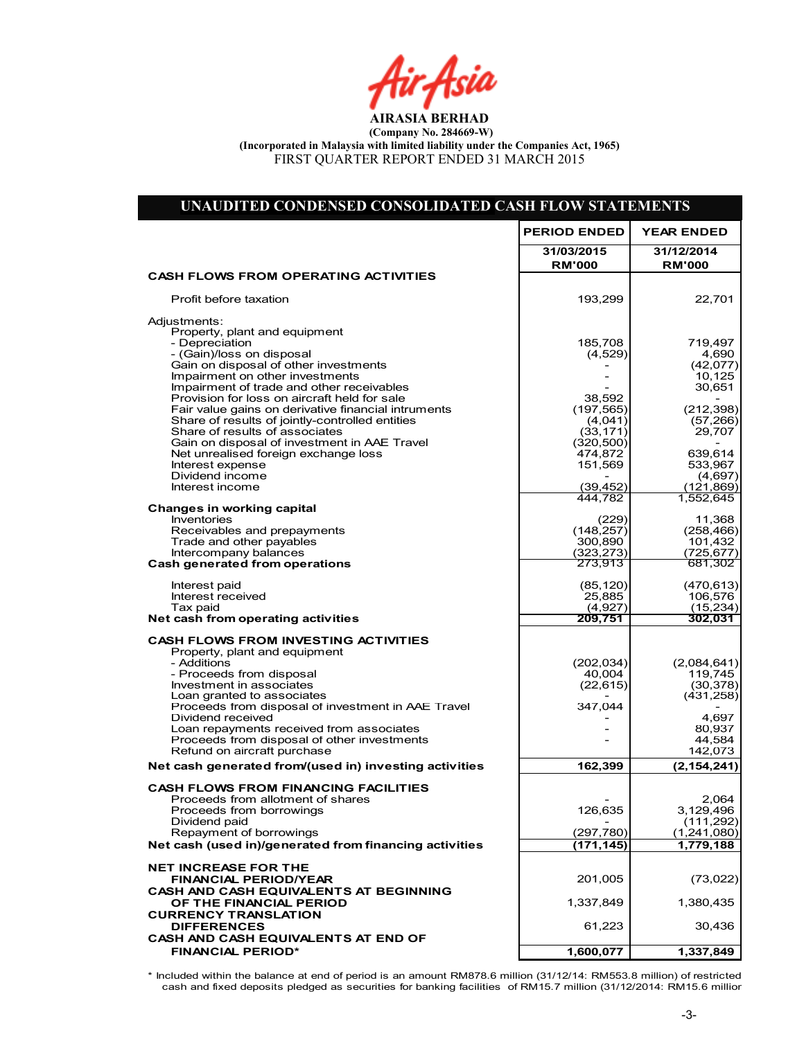Air Asia

| UNAUDITED CONDENSED CONSOLIDATED CASH FLOW STATEMENTS                                                                                                                                                                                                                                                                                                                                                                                                                                                     |                                                                                             |                                                                                                  |
|-----------------------------------------------------------------------------------------------------------------------------------------------------------------------------------------------------------------------------------------------------------------------------------------------------------------------------------------------------------------------------------------------------------------------------------------------------------------------------------------------------------|---------------------------------------------------------------------------------------------|--------------------------------------------------------------------------------------------------|
|                                                                                                                                                                                                                                                                                                                                                                                                                                                                                                           | <b>PERIOD ENDED</b>                                                                         | <b>YEAR ENDED</b>                                                                                |
|                                                                                                                                                                                                                                                                                                                                                                                                                                                                                                           | 31/03/2015<br><b>RM'000</b>                                                                 | 31/12/2014<br><b>RM'000</b>                                                                      |
| <b>CASH FLOWS FROM OPERATING ACTIVITIES</b>                                                                                                                                                                                                                                                                                                                                                                                                                                                               |                                                                                             |                                                                                                  |
| Profit before taxation                                                                                                                                                                                                                                                                                                                                                                                                                                                                                    | 193,299                                                                                     | 22,701                                                                                           |
| Adjustments:<br>Property, plant and equipment<br>- Depreciation<br>- (Gain)/loss on disposal<br>Gain on disposal of other investments<br>Impairment on other investments<br>Impairment of trade and other receivables<br>Provision for loss on aircraft held for sale<br>Fair value gains on derivative financial intruments<br>Share of results of jointly-controlled entities<br>Share of results of associates<br>Gain on disposal of investment in AAE Travel<br>Net unrealised foreign exchange loss | 185,708<br>(4,529)<br>38,592<br>(197, 565)<br>(4,041)<br>(33, 171)<br>(320, 500)<br>474,872 | 719,497<br>4,690<br>(42,077)<br>10,125<br>30,651<br>(212, 398)<br>(57, 266)<br>29,707<br>639,614 |
| Interest expense<br>Dividend income<br>Interest income                                                                                                                                                                                                                                                                                                                                                                                                                                                    | 151,569<br>(39, 452)                                                                        | 533,967<br>(4,697)<br>(121,869)                                                                  |
| <b>Changes in working capital</b>                                                                                                                                                                                                                                                                                                                                                                                                                                                                         | 444.782                                                                                     | 1,552,645                                                                                        |
| Inventories<br>Receivables and prepayments<br>Trade and other payables<br>Intercompany balances                                                                                                                                                                                                                                                                                                                                                                                                           | (229)<br>(148, 257)<br>300.890<br>(323, 273)<br>273,913                                     | 11,368<br>(258, 466)<br>101,432<br>(725, 677)                                                    |
| Cash generated from operations<br>Interest paid<br>Interest received                                                                                                                                                                                                                                                                                                                                                                                                                                      | (85, 120)<br>25,885                                                                         | 681,302<br>(470, 613)<br>106,576                                                                 |
| Tax paid<br>Net cash from operating activities                                                                                                                                                                                                                                                                                                                                                                                                                                                            | (4,927)<br>209,751                                                                          | (15, 234)<br>302,031                                                                             |
| <b>CASH FLOWS FROM INVESTING ACTIVITIES</b><br>Property, plant and equipment<br>- Additions<br>- Proceeds from disposal<br>Investment in associates<br>Loan granted to associates<br>Proceeds from disposal of investment in AAE Travel<br>Dividend received<br>Loan repayments received from associates                                                                                                                                                                                                  | (202, 034)<br>40,004<br>(22, 615)<br>347,044                                                | (2,084,641)<br>119,745<br>(30, 378)<br>(431, 258)<br>4,697<br>80,937                             |
| Proceeds from disposal of other investments<br>Refund on aircraft purchase                                                                                                                                                                                                                                                                                                                                                                                                                                |                                                                                             | 44,584<br>142,073                                                                                |
| Net cash generated from/(used in) investing activities                                                                                                                                                                                                                                                                                                                                                                                                                                                    | 162,399                                                                                     | (2, 154, 241)                                                                                    |
| <b>CASH FLOWS FROM FINANCING FACILITIES</b><br>Proceeds from allotment of shares<br>Proceeds from borrowings<br>Dividend paid<br>Repayment of borrowings<br>Net cash (used in)/generated from financing activities                                                                                                                                                                                                                                                                                        | 126,635<br>(297, 780)<br>(171, 145)                                                         | 2,064<br>3,129,496<br>(111, 292)<br>(1,241,080)<br>1,779,188                                     |
|                                                                                                                                                                                                                                                                                                                                                                                                                                                                                                           |                                                                                             |                                                                                                  |
| <b>NET INCREASE FOR THE</b><br>FINANCIAL PERIOD/YEAR<br><b>CASH AND CASH EQUIVALENTS AT BEGINNING</b>                                                                                                                                                                                                                                                                                                                                                                                                     | 201,005                                                                                     | (73, 022)                                                                                        |
| OF THE FINANCIAL PERIOD<br><b>CURRENCY TRANSLATION</b>                                                                                                                                                                                                                                                                                                                                                                                                                                                    | 1,337,849                                                                                   | 1,380,435                                                                                        |
| <b>DIFFERENCES</b><br>CASH AND CASH EQUIVALENTS AT END OF                                                                                                                                                                                                                                                                                                                                                                                                                                                 | 61,223                                                                                      | 30,436                                                                                           |
| <b>FINANCIAL PERIOD*</b>                                                                                                                                                                                                                                                                                                                                                                                                                                                                                  | 1,600,077                                                                                   | 1,337,849                                                                                        |

\* Included within the balance at end of period is an amount RM878.6 million (31/12/14: RM553.8 million) of restricted cash and fixed deposits pledged as securities for banking facilities of RM15.7 million (31/12/2014: RM15.6 million)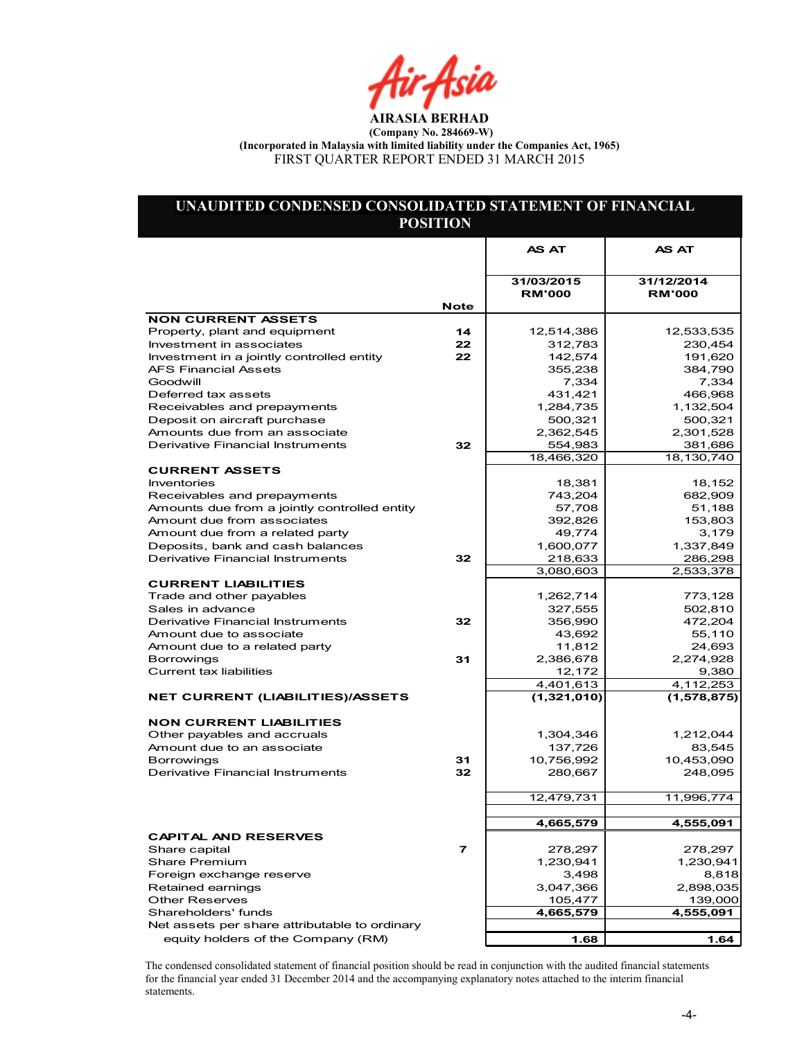Air Asia

### UNAUDITED CONDENSED CONSOLIDATED STATEMENT OF FINANCIAL POSITION

|                                                                      |                | AS AT                | <b>AS AT</b>         |
|----------------------------------------------------------------------|----------------|----------------------|----------------------|
|                                                                      |                |                      |                      |
|                                                                      |                | 31/03/2015           | 31/12/2014           |
|                                                                      |                | <b>RM'000</b>        | <b>RM'000</b>        |
| <b>NON CURRENT ASSETS</b>                                            | <b>Note</b>    |                      |                      |
| Property, plant and equipment                                        | 14             | 12,514,386           | 12,533,535           |
| Investment in associates                                             | 22             | 312,783              | 230,454              |
| Investment in a jointly controlled entity                            | 22             | 142,574              | 191,620              |
| <b>AFS Financial Assets</b>                                          |                | 355,238              | 384,790              |
| Goodwill                                                             |                | 7,334                | 7,334                |
| Deferred tax assets                                                  |                | 431,421              | 466,968              |
| Receivables and prepayments                                          |                | 1,284,735            | 1,132,504            |
| Deposit on aircraft purchase                                         |                | 500,321              | 500,321              |
| Amounts due from an associate                                        |                | 2,362,545            | 2,301,528            |
| Derivative Financial Instruments                                     | 32             | 554,983              | 381,686              |
|                                                                      |                | 18,466,320           | 18,130,740           |
| <b>CURRENT ASSETS</b>                                                |                |                      |                      |
| Inventories                                                          |                | 18,381               | 18,152               |
| Receivables and prepayments                                          |                | 743,204              | 682,909              |
| Amounts due from a jointly controlled entity                         |                | 57,708               | 51,188               |
| Amount due from associates                                           |                | 392,826              | 153,803              |
| Amount due from a related party                                      |                | 49,774               | 3,179                |
| Deposits, bank and cash balances<br>Derivative Financial Instruments | 32             | 1,600,077<br>218,633 | 1,337,849            |
|                                                                      |                | 3,080,603            | 286,298<br>2,533,378 |
| <b>CURRENT LIABILITIES</b>                                           |                |                      |                      |
| Trade and other payables                                             |                | 1,262,714            | 773,128              |
| Sales in advance                                                     |                | 327,555              | 502,810              |
| Derivative Financial Instruments                                     | 32             | 356,990              | 472,204              |
| Amount due to associate                                              |                | 43,692               | 55,110               |
| Amount due to a related party                                        |                | 11,812               | 24,693               |
| <b>Borrowings</b>                                                    | 31             | 2,386,678            | 2,274,928            |
| <b>Current tax liabilities</b>                                       |                | 12,172               | 9,380                |
|                                                                      |                | 4,401,613            | 4,112,253            |
| <b>NET CURRENT (LIABILITIES)/ASSETS</b>                              |                | (1,321,010)          | (1,578,875)          |
|                                                                      |                |                      |                      |
| <b>NON CURRENT LIABILITIES</b>                                       |                |                      |                      |
| Other payables and accruals                                          |                | 1,304,346            | 1,212,044            |
| Amount due to an associate                                           |                | 137,726              | 83,545               |
| <b>Borrowings</b>                                                    | 31             | 10,756,992           | 10,453,090           |
| Derivative Financial Instruments                                     | 32             | 280,667              | 248,095              |
|                                                                      |                |                      |                      |
|                                                                      |                | 12,479,731           | 11,996,774           |
|                                                                      |                |                      |                      |
|                                                                      |                | 4,665,579            | 4,555,091            |
| <b>CAPITAL AND RESERVES</b>                                          |                |                      |                      |
| Share capital                                                        | $\overline{ }$ | 278,297              | 278,297              |
| <b>Share Premium</b>                                                 |                | 1,230,941            | 1,230,941            |
| Foreign exchange reserve                                             |                | 3,498                | 8,818                |
| Retained earnings                                                    |                | 3,047,366            | 2,898,035            |
| <b>Other Reserves</b>                                                |                | 105,477              | 139,000              |
| Shareholders' funds                                                  |                | 4,665,579            | 4,555,091            |
| Net assets per share attributable to ordinary                        |                |                      |                      |
| equity holders of the Company (RM)                                   |                | 1.68                 | 1.64                 |

The condensed consolidated statement of financial position should be read in conjunction with the audited financial statements for the financial year ended 31 December 2014 and the accompanying explanatory notes attached to the interim financial statements.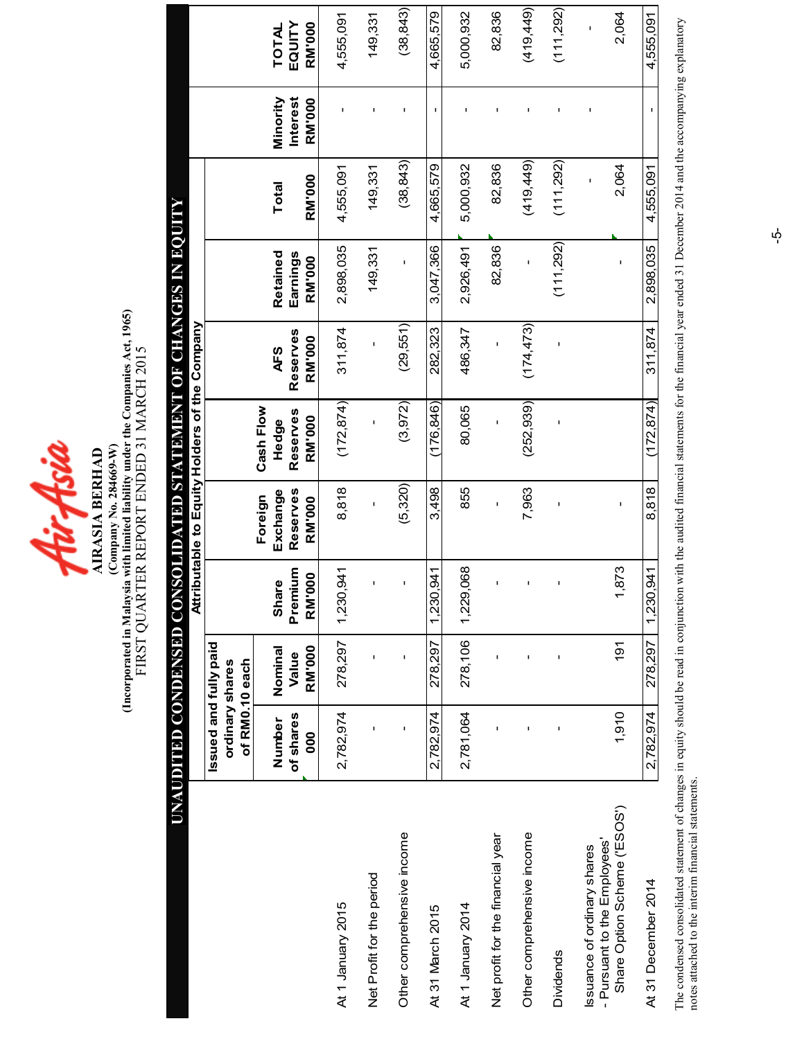

(Comparted in Malaysia with limited liability under the Companies Act, 1965)<br>FIRST QUARTER REPORT ENDED 31 MARCH 2015 (Incorporated in Malaysia with limited liability under the Companies Act, 1965) FIRST QUARTER REPORT ENDED 31 MARCH 2015 (Company No. 284669-W) **AIRASIA BERHAD** AIRASIA BERHAD

|                                                             | AJINOT NI STONYHO 10 LNJIMALYJS (IAINUTOSNO) (IASNA(NO) (IAIN(INXNI) |                  |                       |                                 |                                               |                        |                      |               |                             |                        |
|-------------------------------------------------------------|----------------------------------------------------------------------|------------------|-----------------------|---------------------------------|-----------------------------------------------|------------------------|----------------------|---------------|-----------------------------|------------------------|
|                                                             |                                                                      |                  |                       |                                 | Attributable to Equity Holders of the Company |                        |                      |               |                             |                        |
|                                                             | Issued and fully paid<br>of RM0.10 each<br>ordinary shares           |                  |                       |                                 |                                               |                        |                      |               |                             |                        |
|                                                             | of shares<br>Number                                                  | Nominal<br>Value | Premium<br>Share      | Reserves<br>Exchange<br>Foreign | Cash Flow<br>Reserves<br>Hedge                | Reserves<br><b>AFS</b> | Retained<br>Earnings | Total         | Minority<br><b>Interest</b> | EQUITY<br><b>TOTAL</b> |
|                                                             | 800                                                                  | <b>RM'000</b>    | <b>RM'000</b>         | <b>RM'000</b>                   | <b>RM'000</b>                                 | RM'000                 | RM'000               | <b>RM'000</b> | <b>RM'000</b>               | RM'000                 |
| At 1 January 2015                                           | 2,782,974                                                            | 278,297          | $-941$<br>1,230,      | 8,818                           | (172, 874)                                    | 311,874                | 2,898,035            | 4,555,091     | ı                           | 4,555,091              |
| Net Profit for the period                                   |                                                                      |                  |                       | ı                               |                                               |                        | 149,331              | 149,331       |                             | 149,331                |
| Other comprehensive income                                  | $\blacksquare$                                                       | ı                |                       | (5, 320)                        | (3, 972)                                      | (29, 551)              | ı                    | (38, 843)     | J.                          | (38, 843)              |
| At 31 March 2015                                            | 2,782,974                                                            | 278,297          | $-941$<br>1,230       | 3,498                           | (176, 846)                                    | 282,323                | 3,047,366            | 4,665,579     | $\mathbf I$                 | 4,665,579              |
| At 1 January 2014                                           | 2,781,064                                                            | 278,106          | ,068<br>1,229,        | 855                             | 80,065                                        | 486,347                | 2,926,491            | 5,000,932     |                             | 5,000,932              |
| Net profit for the financial year                           |                                                                      |                  |                       | ı                               | ı                                             | ı                      | 82,836               | 82,836        | ı                           | 82,836                 |
| Other comprehensive income                                  |                                                                      |                  |                       | 7,963                           | (252, 939)                                    | (174, 473)             | ı                    | (419, 449)    | I.                          | (419, 449)             |
| <b>Dividends</b>                                            |                                                                      | ı                |                       | ı                               |                                               |                        | (11, 292)            | (111, 292)    |                             | (111, 292)             |
| - Pursuant to the Employees'<br>Issuance of ordinary shares |                                                                      |                  |                       |                                 |                                               |                        |                      | ı             | ı                           | ı                      |
| Share Option Scheme ('ESOS')                                | 1,910                                                                | $\overline{5}$   | 873<br>$\overline{ }$ | ı                               |                                               |                        |                      | 2,064         |                             | 2,064                  |
| At 31 December 2014                                         | 2,782,974                                                            | 278,297          | 941<br>1,230,         | 8,818                           | (172, 874)                                    | 311.874                | 2,898,035            | 4,555,091     |                             | 4,555,091              |

The condensed consolidated statement of changes in equity should be read in conjunction with the audited financial statements for the financial year ended 31 December 2014 and the accompanying explanatory notes attached to The condensed consolidated statement of changes in equity should be read in conjunction with the audited financial statements for the financial year ended 31 December 2014 and the accompanying explanatory notes attached to the interim financial statements.

 $\phi$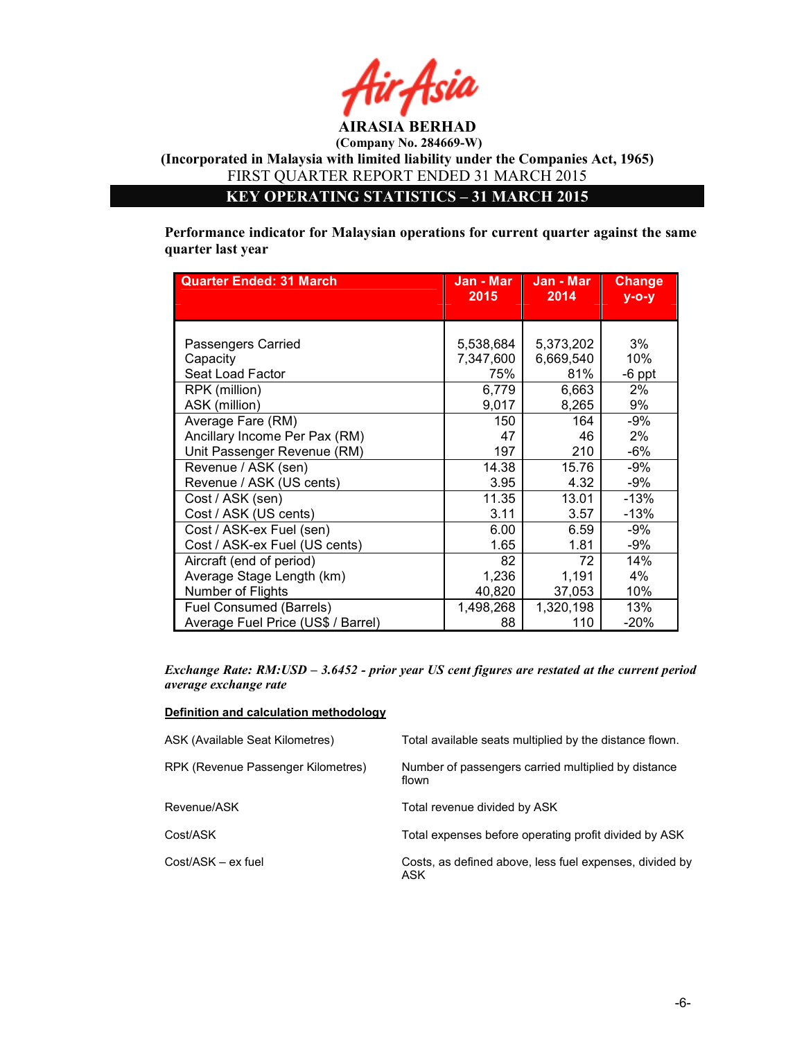

KEY OPERATING STATISTICS – 31 MARCH 2015

Performance indicator for Malaysian operations for current quarter against the same quarter last year

| <b>Quarter Ended: 31 March</b>     | Jan - Mar<br>2015 | Jan - Mar<br>2014 | <b>Change</b><br>$y - 0 - y$ |
|------------------------------------|-------------------|-------------------|------------------------------|
|                                    |                   |                   |                              |
|                                    |                   |                   |                              |
| Passengers Carried                 | 5,538,684         | 5,373,202         | $3\%$                        |
| Capacity                           | 7,347,600         | 6,669,540         | 10%                          |
| Seat Load Factor                   | 75%               | 81%               | $-6$ ppt                     |
| RPK (million)                      | 6,779             | 6,663             | $2\%$                        |
| ASK (million)                      | 9,017             | 8,265             | 9%                           |
| Average Fare (RM)                  | 150               | 164               | -9%                          |
| Ancillary Income Per Pax (RM)      | 47                | 46                | 2%                           |
| Unit Passenger Revenue (RM)        | 197               | 210               | $-6%$                        |
| Revenue / ASK (sen)                | 14.38             | 15.76             | -9%                          |
| Revenue / ASK (US cents)           | 3.95              | 4.32              | -9%                          |
| Cost / ASK (sen)                   | 11.35             | 13.01             | $-13%$                       |
| Cost / ASK (US cents)              | 3.11              | 3.57              | $-13%$                       |
| Cost / ASK-ex Fuel (sen)           | 6.00              | 6.59              | -9%                          |
| Cost / ASK-ex Fuel (US cents)      | 1.65              | 1.81              | -9%                          |
| Aircraft (end of period)           | 82                | 72                | 14%                          |
| Average Stage Length (km)          | 1,236             | 1,191             | 4%                           |
| Number of Flights                  | 40,820            | 37,053            | 10%                          |
| Fuel Consumed (Barrels)            | 1,498,268         | 1,320,198         | 13%                          |
| Average Fuel Price (US\$ / Barrel) | 88                | 110               | $-20%$                       |

Exchange Rate: RM:USD – 3.6452 - prior year US cent figures are restated at the current period average exchange rate

#### Definition and calculation methodology

| ASK (Available Seat Kilometres)    | Total available seats multiplied by the distance flown.         |
|------------------------------------|-----------------------------------------------------------------|
| RPK (Revenue Passenger Kilometres) | Number of passengers carried multiplied by distance<br>flown    |
| Revenue/ASK                        | Total revenue divided by ASK                                    |
| Cost/ASK                           | Total expenses before operating profit divided by ASK           |
| Cost/ASK – ex fuel                 | Costs, as defined above, less fuel expenses, divided by<br>ASK. |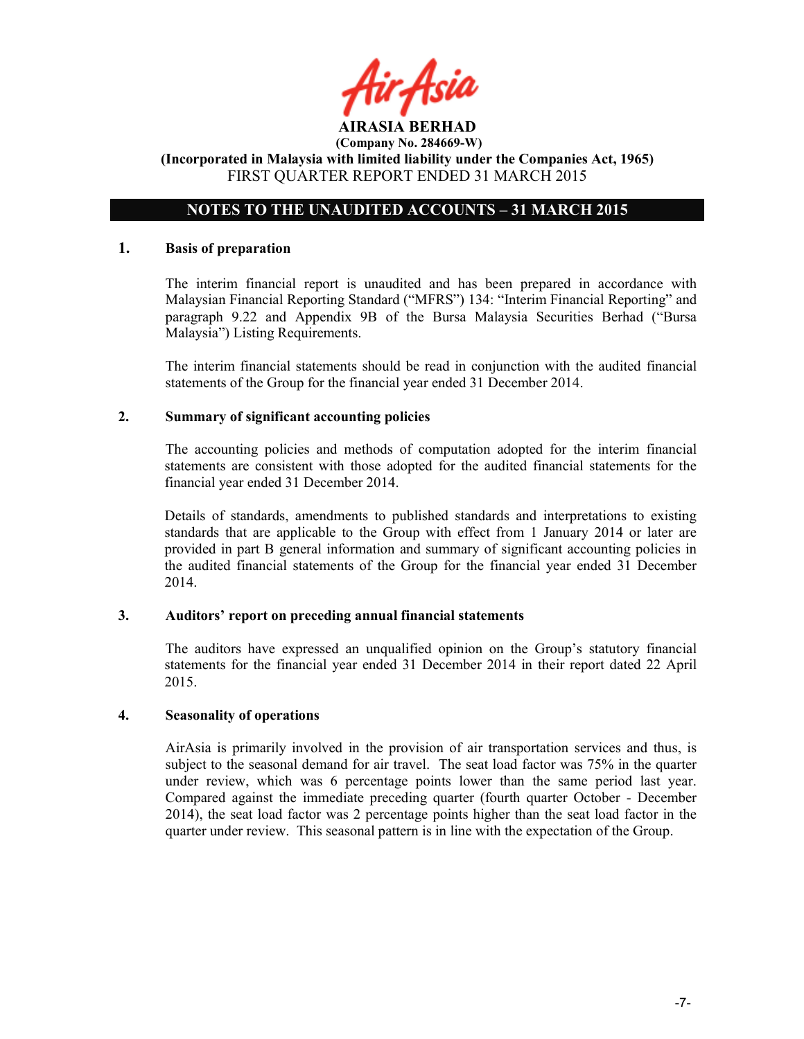# NOTES TO THE UNAUDITED ACCOUNTS – 31 MARCH 2015

#### 1. Basis of preparation

The interim financial report is unaudited and has been prepared in accordance with Malaysian Financial Reporting Standard ("MFRS") 134: "Interim Financial Reporting" and paragraph 9.22 and Appendix 9B of the Bursa Malaysia Securities Berhad ("Bursa Malaysia") Listing Requirements.

The interim financial statements should be read in conjunction with the audited financial statements of the Group for the financial year ended 31 December 2014.

#### 2. Summary of significant accounting policies

The accounting policies and methods of computation adopted for the interim financial statements are consistent with those adopted for the audited financial statements for the financial year ended 31 December 2014.

Details of standards, amendments to published standards and interpretations to existing standards that are applicable to the Group with effect from 1 January 2014 or later are provided in part B general information and summary of significant accounting policies in the audited financial statements of the Group for the financial year ended 31 December 2014.

#### 3. Auditors' report on preceding annual financial statements

The auditors have expressed an unqualified opinion on the Group's statutory financial statements for the financial year ended 31 December 2014 in their report dated 22 April 2015.

### 4. Seasonality of operations

AirAsia is primarily involved in the provision of air transportation services and thus, is subject to the seasonal demand for air travel. The seat load factor was 75% in the quarter under review, which was 6 percentage points lower than the same period last year. Compared against the immediate preceding quarter (fourth quarter October - December 2014), the seat load factor was 2 percentage points higher than the seat load factor in the quarter under review. This seasonal pattern is in line with the expectation of the Group.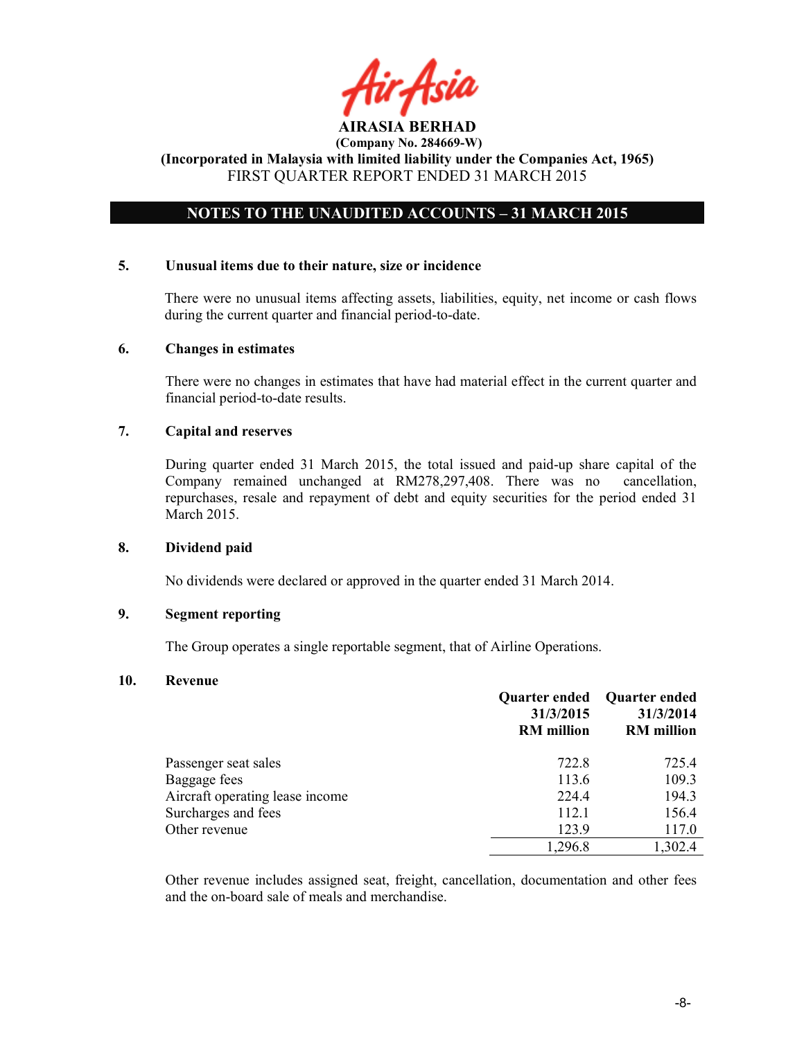# NOTES TO THE UNAUDITED ACCOUNTS – 31 MARCH 2015

#### 5. Unusual items due to their nature, size or incidence

There were no unusual items affecting assets, liabilities, equity, net income or cash flows during the current quarter and financial period-to-date.

#### 6. Changes in estimates

There were no changes in estimates that have had material effect in the current quarter and financial period-to-date results.

### 7. Capital and reserves

During quarter ended 31 March 2015, the total issued and paid-up share capital of the Company remained unchanged at RM278,297,408. There was no cancellation, repurchases, resale and repayment of debt and equity securities for the period ended 31 March 2015.

### 8. Dividend paid

No dividends were declared or approved in the quarter ended 31 March 2014.

### 9. Segment reporting

The Group operates a single reportable segment, that of Airline Operations.

#### 10. Revenue

|                                 | <b>Quarter ended</b><br>31/3/2015<br><b>RM</b> million | <b>Quarter ended</b><br>31/3/2014<br><b>RM</b> million |
|---------------------------------|--------------------------------------------------------|--------------------------------------------------------|
| Passenger seat sales            | 722.8                                                  | 725.4                                                  |
| Baggage fees                    | 113.6                                                  | 109.3                                                  |
| Aircraft operating lease income | 224.4                                                  | 194.3                                                  |
| Surcharges and fees             | 112.1                                                  | 156.4                                                  |
| Other revenue                   | 123.9                                                  | 117.0                                                  |
|                                 | 1,296.8                                                | 1,302.4                                                |

Other revenue includes assigned seat, freight, cancellation, documentation and other fees and the on-board sale of meals and merchandise.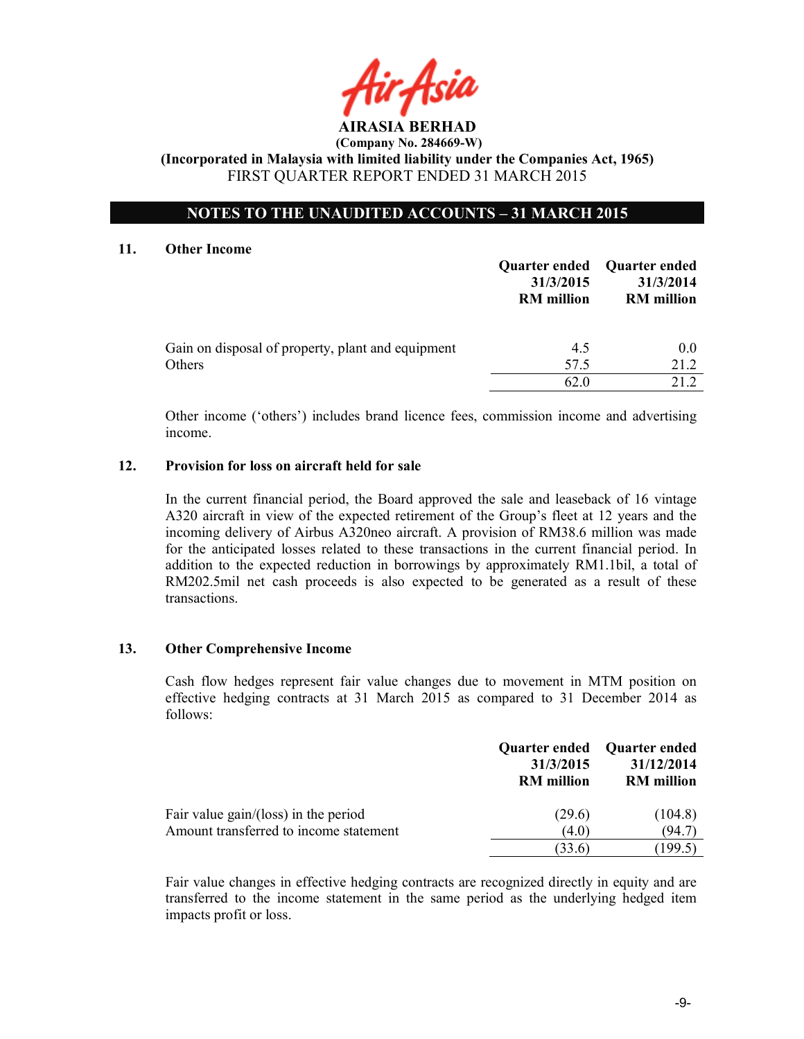# NOTES TO THE UNAUDITED ACCOUNTS – 31 MARCH 2015

#### 11. Other Income

|                                                   |                   | Quarter ended Quarter ended |
|---------------------------------------------------|-------------------|-----------------------------|
|                                                   | 31/3/2015         | 31/3/2014                   |
|                                                   | <b>RM</b> million | <b>RM</b> million           |
|                                                   |                   |                             |
| Gain on disposal of property, plant and equipment | 4.5               | 0.0                         |
| Others                                            | 57.5              | 21.2                        |
|                                                   | 62.0              | 21 Z                        |

Other income ('others') includes brand licence fees, commission income and advertising income.

### 12. Provision for loss on aircraft held for sale

In the current financial period, the Board approved the sale and leaseback of 16 vintage A320 aircraft in view of the expected retirement of the Group's fleet at 12 years and the incoming delivery of Airbus A320neo aircraft. A provision of RM38.6 million was made for the anticipated losses related to these transactions in the current financial period. In addition to the expected reduction in borrowings by approximately RM1.1bil, a total of RM202.5mil net cash proceeds is also expected to be generated as a result of these transactions.

### 13. Other Comprehensive Income

Cash flow hedges represent fair value changes due to movement in MTM position on effective hedging contracts at 31 March 2015 as compared to 31 December 2014 as follows:

|                                                                                  | 31/3/2015<br><b>RM</b> million | Quarter ended Quarter ended<br>31/12/2014<br><b>RM</b> million |
|----------------------------------------------------------------------------------|--------------------------------|----------------------------------------------------------------|
| Fair value $gain/(loss)$ in the period<br>Amount transferred to income statement | (29.6)<br>(4.0)                | (104.8)<br>(94.7)                                              |
|                                                                                  | (33.6)                         | (199.5)                                                        |

Fair value changes in effective hedging contracts are recognized directly in equity and are transferred to the income statement in the same period as the underlying hedged item impacts profit or loss.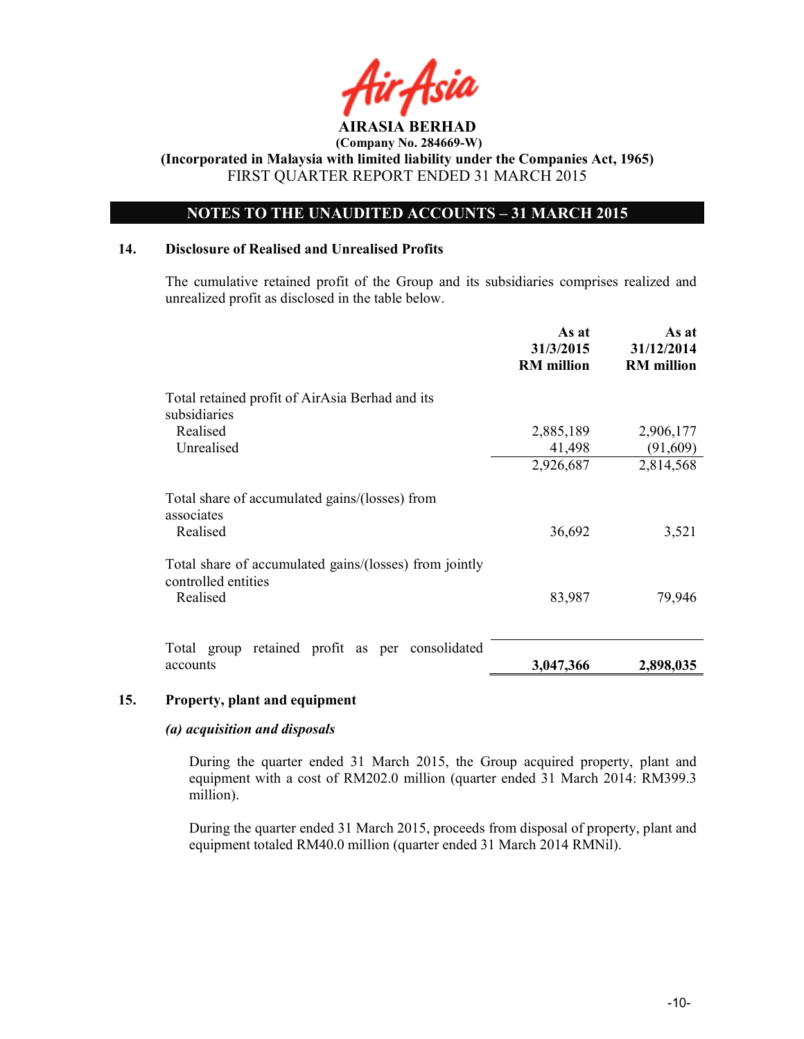

# NOTES TO THE UNAUDITED ACCOUNTS – 31 MARCH 2015

### 14. Disclosure of Realised and Unrealised Profits

The cumulative retained profit of the Group and its subsidiaries comprises realized and unrealized profit as disclosed in the table below.

|                                                                               | As at<br>31/3/2015<br><b>RM</b> million | As at<br>31/12/2014<br><b>RM</b> million |
|-------------------------------------------------------------------------------|-----------------------------------------|------------------------------------------|
| Total retained profit of AirAsia Berhad and its<br>subsidiaries               |                                         |                                          |
| Realised                                                                      | 2,885,189                               | 2,906,177                                |
| Unrealised                                                                    | 41,498                                  | (91,609)                                 |
|                                                                               | 2,926,687                               | 2,814,568                                |
| Total share of accumulated gains/(losses) from<br>associates                  |                                         |                                          |
| Realised                                                                      | 36,692                                  | 3,521                                    |
| Total share of accumulated gains/(losses) from jointly<br>controlled entities |                                         |                                          |
| Realised                                                                      | 83,987                                  | 79,946                                   |
|                                                                               |                                         |                                          |
| retained profit as per consolidated<br>Total group<br>accounts                | 3,047,366                               | 2,898,035                                |

### 15. Property, plant and equipment

### (a) acquisition and disposals

During the quarter ended 31 March 2015, the Group acquired property, plant and equipment with a cost of RM202.0 million (quarter ended 31 March 2014: RM399.3 million).

During the quarter ended 31 March 2015, proceeds from disposal of property, plant and equipment totaled RM40.0 million (quarter ended 31 March 2014 RMNil).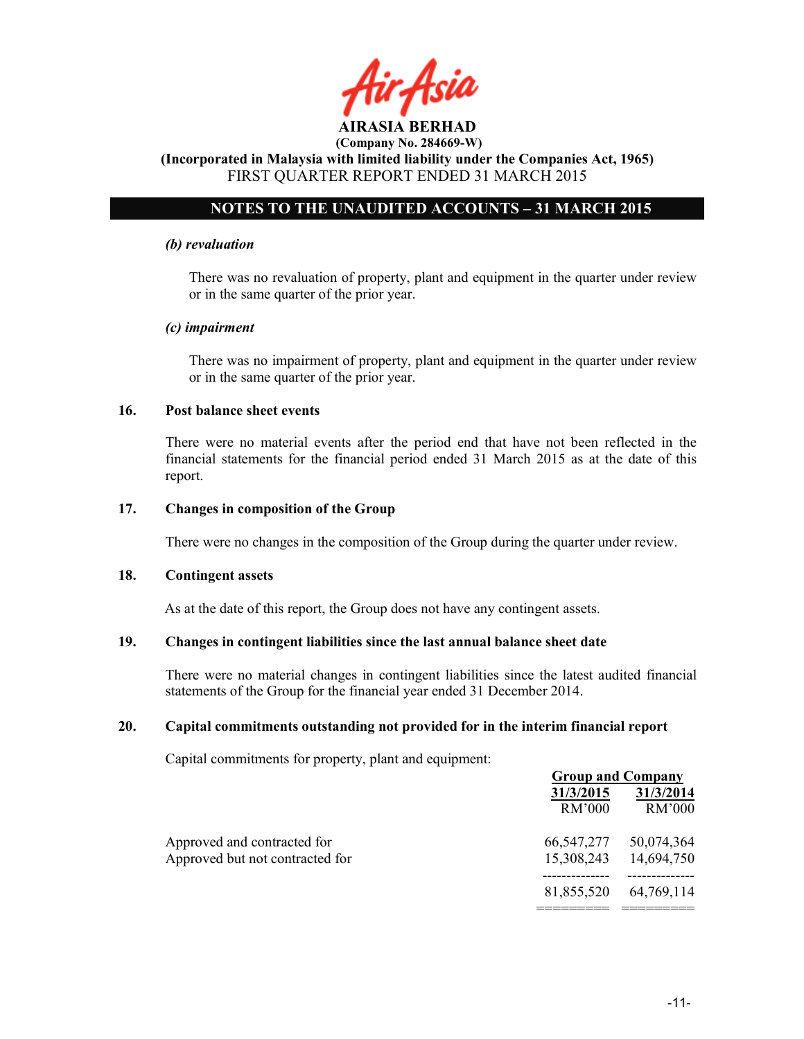# NOTES TO THE UNAUDITED ACCOUNTS – 31 MARCH 2015

### (b) revaluation

There was no revaluation of property, plant and equipment in the quarter under review or in the same quarter of the prior year.

### (c) impairment

There was no impairment of property, plant and equipment in the quarter under review or in the same quarter of the prior year.

### 16. Post balance sheet events

There were no material events after the period end that have not been reflected in the financial statements for the financial period ended 31 March 2015 as at the date of this report.

#### 17. Changes in composition of the Group

There were no changes in the composition of the Group during the quarter under review.

#### 18. Contingent assets

As at the date of this report, the Group does not have any contingent assets.

### 19. Changes in contingent liabilities since the last annual balance sheet date

There were no material changes in contingent liabilities since the latest audited financial statements of the Group for the financial year ended 31 December 2014.

### 20. Capital commitments outstanding not provided for in the interim financial report

Capital commitments for property, plant and equipment:

|                                 |            | <b>Group and Company</b> |
|---------------------------------|------------|--------------------------|
|                                 | 31/3/2015  | 31/3/2014                |
|                                 | RM'000     | RM'000                   |
| Approved and contracted for     | 66,547,277 | 50,074,364               |
| Approved but not contracted for | 15,308,243 | 14,694,750               |
|                                 | 81,855,520 | 64,769,114               |
|                                 |            |                          |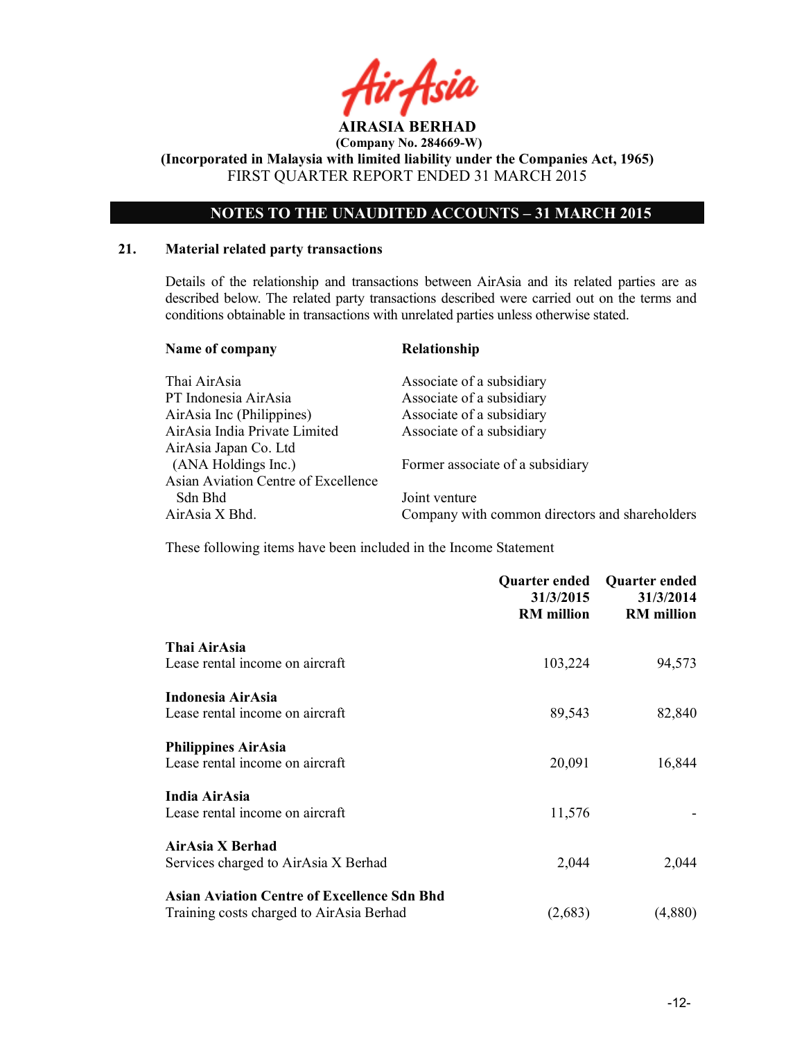

# NOTES TO THE UNAUDITED ACCOUNTS – 31 MARCH 2015

### 21. Material related party transactions

Details of the relationship and transactions between AirAsia and its related parties are as described below. The related party transactions described were carried out on the terms and conditions obtainable in transactions with unrelated parties unless otherwise stated.

| Name of company                     | Relationship                                   |
|-------------------------------------|------------------------------------------------|
| Thai AirAsia                        | Associate of a subsidiary                      |
| PT Indonesia AirAsia                | Associate of a subsidiary                      |
| AirAsia Inc (Philippines)           | Associate of a subsidiary                      |
| AirAsia India Private Limited       | Associate of a subsidiary                      |
| AirAsia Japan Co. Ltd               |                                                |
| (ANA Holdings Inc.)                 | Former associate of a subsidiary               |
| Asian Aviation Centre of Excellence |                                                |
| Sdn Bhd                             | Joint venture                                  |
| AirAsia X Bhd.                      | Company with common directors and shareholders |
|                                     |                                                |

These following items have been included in the Income Statement

|                                                    | Quarter ended<br>31/3/2015<br><b>RM</b> million | <b>Quarter ended</b><br>31/3/2014<br><b>RM</b> million |
|----------------------------------------------------|-------------------------------------------------|--------------------------------------------------------|
| Thai AirAsia                                       |                                                 |                                                        |
| Lease rental income on aircraft                    | 103,224                                         | 94,573                                                 |
| Indonesia AirAsia                                  |                                                 |                                                        |
| Lease rental income on aircraft                    | 89,543                                          | 82,840                                                 |
| <b>Philippines AirAsia</b>                         |                                                 |                                                        |
| Lease rental income on aircraft                    | 20,091                                          | 16,844                                                 |
| India AirAsia                                      |                                                 |                                                        |
| Lease rental income on aircraft                    | 11,576                                          |                                                        |
| AirAsia X Berhad                                   |                                                 |                                                        |
| Services charged to AirAsia X Berhad               | 2,044                                           | 2,044                                                  |
| <b>Asian Aviation Centre of Excellence Sdn Bhd</b> |                                                 |                                                        |
| Training costs charged to AirAsia Berhad           | (2,683)                                         | (4,880)                                                |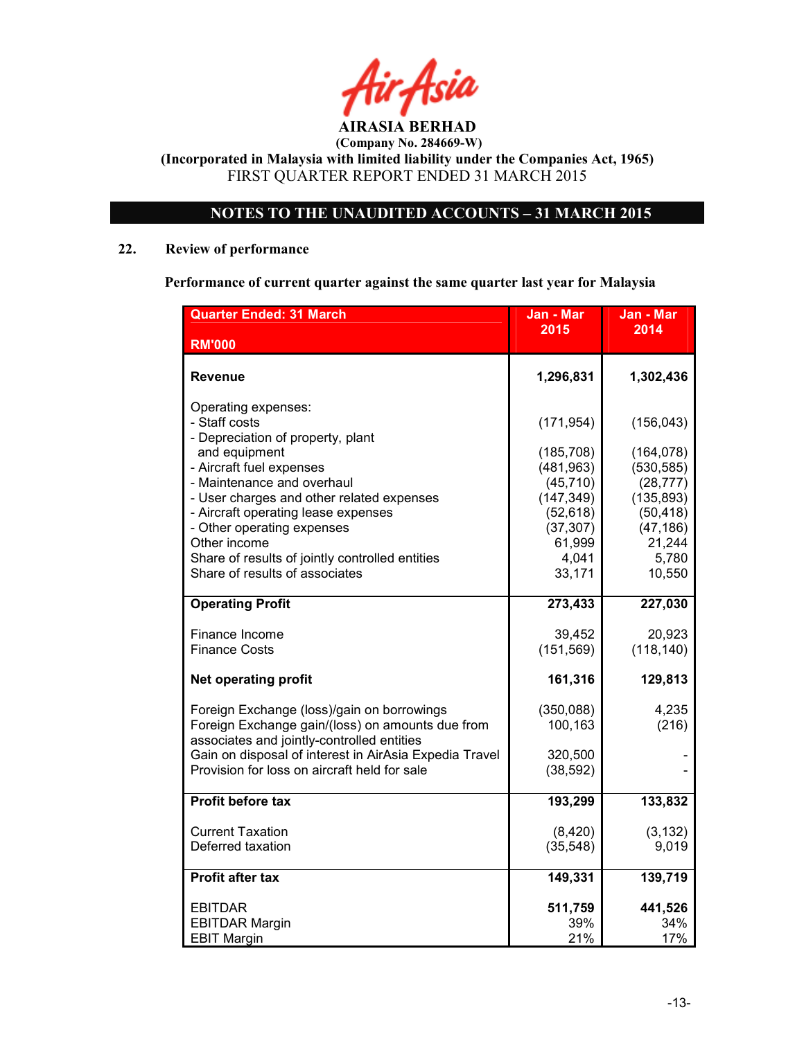AIRASIA BERHAD

# NOTES TO THE UNAUDITED ACCOUNTS – 31 MARCH 2015

# 22. Review of performance

Performance of current quarter against the same quarter last year for Malaysia

| <b>Quarter Ended: 31 March</b>                                                                                                                                                                                                                                                                                                                                              | Jan - Mar                                                                                                                | Jan - Mar                                                                                                                |
|-----------------------------------------------------------------------------------------------------------------------------------------------------------------------------------------------------------------------------------------------------------------------------------------------------------------------------------------------------------------------------|--------------------------------------------------------------------------------------------------------------------------|--------------------------------------------------------------------------------------------------------------------------|
| <b>RM'000</b>                                                                                                                                                                                                                                                                                                                                                               | 2015                                                                                                                     | 2014                                                                                                                     |
|                                                                                                                                                                                                                                                                                                                                                                             |                                                                                                                          |                                                                                                                          |
| Revenue                                                                                                                                                                                                                                                                                                                                                                     | 1,296,831                                                                                                                | 1,302,436                                                                                                                |
| Operating expenses:<br>- Staff costs<br>- Depreciation of property, plant<br>and equipment<br>- Aircraft fuel expenses<br>- Maintenance and overhaul<br>- User charges and other related expenses<br>- Aircraft operating lease expenses<br>- Other operating expenses<br>Other income<br>Share of results of jointly controlled entities<br>Share of results of associates | (171, 954)<br>(185, 708)<br>(481, 963)<br>(45, 710)<br>(147, 349)<br>(52, 618)<br>(37, 307)<br>61,999<br>4,041<br>33,171 | (156, 043)<br>(164, 078)<br>(530, 585)<br>(28, 777)<br>(135, 893)<br>(50, 418)<br>(47, 186)<br>21,244<br>5,780<br>10,550 |
| <b>Operating Profit</b>                                                                                                                                                                                                                                                                                                                                                     | 273,433                                                                                                                  | 227,030                                                                                                                  |
| Finance Income<br><b>Finance Costs</b><br><b>Net operating profit</b>                                                                                                                                                                                                                                                                                                       | 39,452<br>(151, 569)<br>161,316                                                                                          | 20,923<br>(118, 140)<br>129,813                                                                                          |
| Foreign Exchange (loss)/gain on borrowings<br>Foreign Exchange gain/(loss) on amounts due from<br>associates and jointly-controlled entities<br>Gain on disposal of interest in AirAsia Expedia Travel<br>Provision for loss on aircraft held for sale                                                                                                                      | (350, 088)<br>100,163<br>320,500<br>(38, 592)                                                                            | 4,235<br>(216)                                                                                                           |
| <b>Profit before tax</b>                                                                                                                                                                                                                                                                                                                                                    | 193,299                                                                                                                  | 133,832                                                                                                                  |
| <b>Current Taxation</b><br>Deferred taxation                                                                                                                                                                                                                                                                                                                                | (8,420)<br>(35, 548)                                                                                                     | (3, 132)<br>9,019                                                                                                        |
| <b>Profit after tax</b>                                                                                                                                                                                                                                                                                                                                                     | 149,331                                                                                                                  | 139,719                                                                                                                  |
| <b>EBITDAR</b><br><b>EBITDAR Margin</b><br><b>EBIT Margin</b>                                                                                                                                                                                                                                                                                                               | 511,759<br>39%<br>21%                                                                                                    | 441,526<br>34%<br>17%                                                                                                    |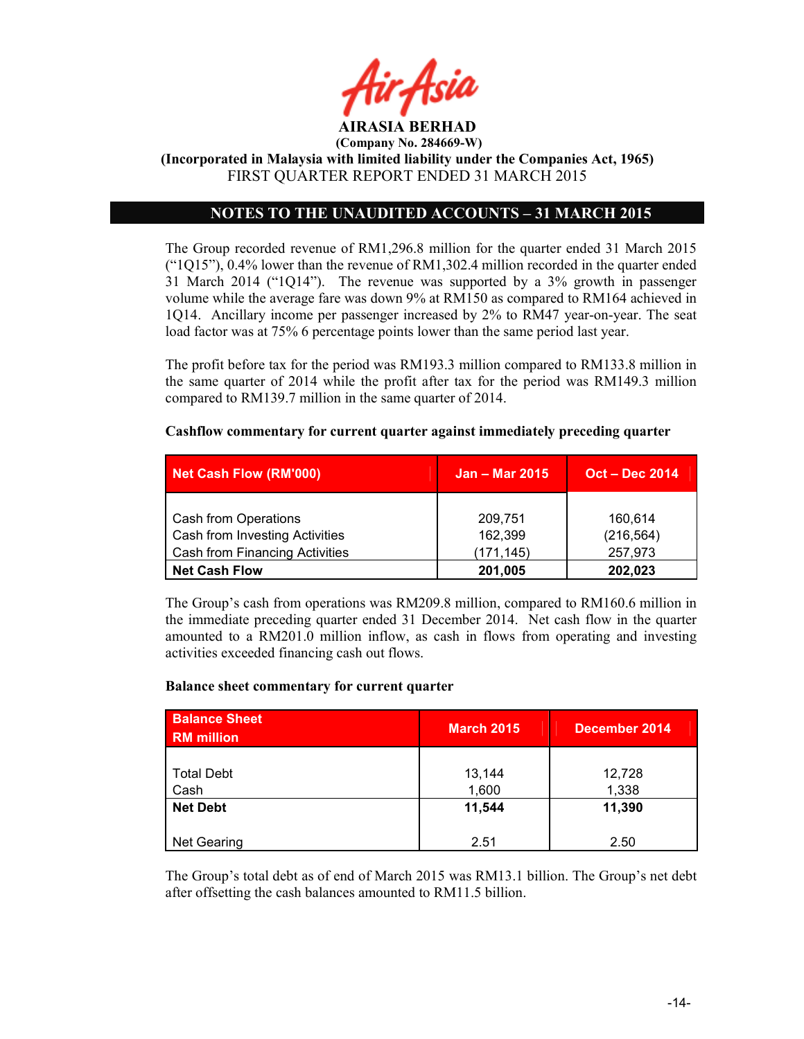

(Incorporated in Malaysia with limited liability under the Companies Act, 1965) FIRST QUARTER REPORT ENDED 31 MARCH 2015

## NOTES TO THE UNAUDITED ACCOUNTS – 31 MARCH 2015

The Group recorded revenue of RM1,296.8 million for the quarter ended 31 March 2015  $("1Q15"), 0.4%$  lower than the revenue of RM1,302.4 million recorded in the quarter ended 31 March 2014 ("1Q14"). The revenue was supported by a 3% growth in passenger volume while the average fare was down 9% at RM150 as compared to RM164 achieved in 1Q14. Ancillary income per passenger increased by 2% to RM47 year-on-year. The seat load factor was at 75% 6 percentage points lower than the same period last year.

The profit before tax for the period was RM193.3 million compared to RM133.8 million in the same quarter of 2014 while the profit after tax for the period was RM149.3 million compared to RM139.7 million in the same quarter of 2014.

| <b>Net Cash Flow (RM'000)</b>         | <b>Jan – Mar 2015</b> | <b>Oct – Dec 2014</b> |  |
|---------------------------------------|-----------------------|-----------------------|--|
|                                       |                       |                       |  |
| Cash from Operations                  | 209,751               | 160,614               |  |
| Cash from Investing Activities        | 162,399               | (216, 564)            |  |
| <b>Cash from Financing Activities</b> | (171, 145)            | 257,973               |  |
| <b>Net Cash Flow</b>                  | 201,005               | 202,023               |  |

#### Cashflow commentary for current quarter against immediately preceding quarter

The Group's cash from operations was RM209.8 million, compared to RM160.6 million in the immediate preceding quarter ended 31 December 2014. Net cash flow in the quarter amounted to a RM201.0 million inflow, as cash in flows from operating and investing activities exceeded financing cash out flows.

#### Balance sheet commentary for current quarter

| <b>Balance Sheet</b><br><b>RM</b> million | <b>March 2015</b> | December 2014   |
|-------------------------------------------|-------------------|-----------------|
| <b>Total Debt</b><br>Cash                 | 13,144<br>1,600   | 12,728<br>1,338 |
| <b>Net Debt</b>                           | 11,544            | 11,390          |
| <b>Net Gearing</b>                        | 2.51              | 2.50            |

The Group's total debt as of end of March 2015 was RM13.1 billion. The Group's net debt after offsetting the cash balances amounted to RM11.5 billion.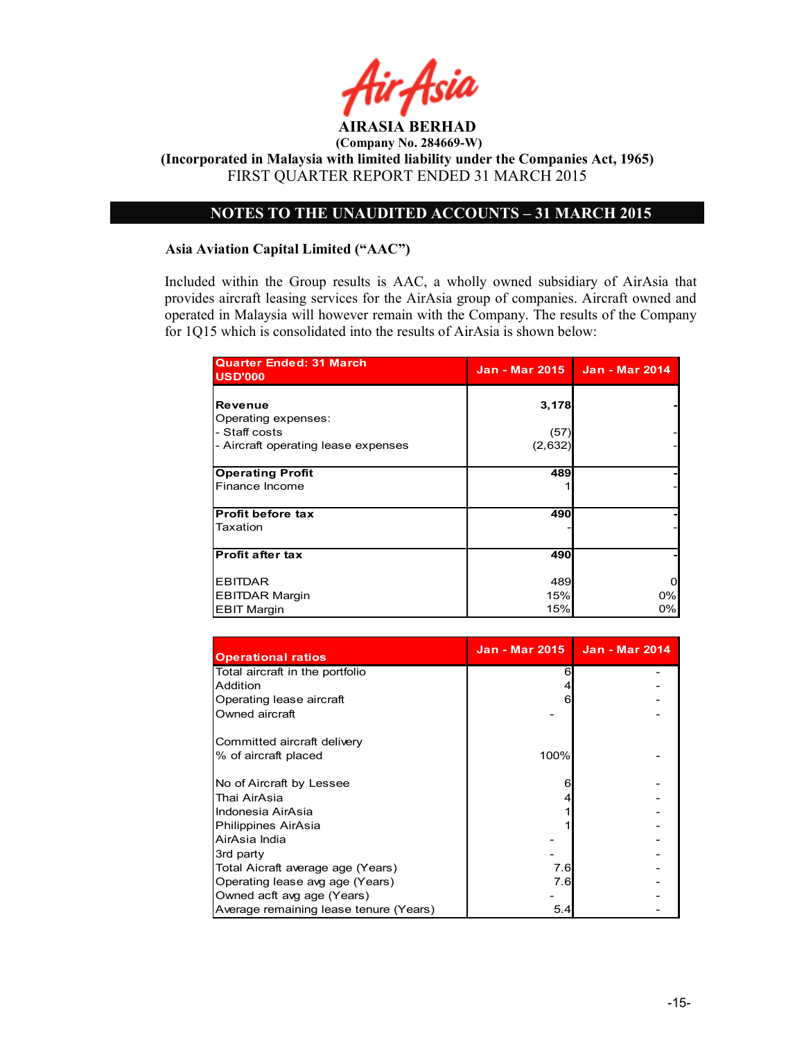

# NOTES TO THE UNAUDITED ACCOUNTS – 31 MARCH 2015

### Asia Aviation Capital Limited ("AAC")

Included within the Group results is AAC, a wholly owned subsidiary of AirAsia that provides aircraft leasing services for the AirAsia group of companies. Aircraft owned and operated in Malaysia will however remain with the Company. The results of the Company for 1Q15 which is consolidated into the results of AirAsia is shown below:

| <b>Quarter Ended: 31 March</b><br><b>USD'000</b>                                       | <b>Jan - Mar 2015</b>    | <b>Jan - Mar 2014</b> |
|----------------------------------------------------------------------------------------|--------------------------|-----------------------|
| Revenue<br>Operating expenses:<br>- Staff costs<br>- Aircraft operating lease expenses | 3,178<br>(57)<br>(2,632) |                       |
| <b>Operating Profit</b><br>Finance Income                                              | 489                      |                       |
| <b>Profit before tax</b><br>Taxation                                                   | 490                      |                       |
| <b>Profit after tax</b>                                                                | 490                      |                       |
| <b>EBITDAR</b><br><b>EBITDAR Margin</b><br><b>EBIT Margin</b>                          | 489<br>15%<br>15%        | 0%<br>0%              |

| <b>Operational ratios</b>              |      | Jan - Mar 2015   Jan - Mar 2014 |
|----------------------------------------|------|---------------------------------|
| Total aircraft in the portfolio        | 6    |                                 |
| Addition                               |      |                                 |
| Operating lease aircraft               | 6    |                                 |
| Owned aircraft                         |      |                                 |
| Committed aircraft delivery            |      |                                 |
| % of aircraft placed                   | 100% |                                 |
| No of Aircraft by Lessee               | 6    |                                 |
| Thai AirAsia                           |      |                                 |
| Indonesia AirAsia                      |      |                                 |
| Philippines AirAsia                    |      |                                 |
| AirAsia India                          |      |                                 |
| 3rd party                              |      |                                 |
| Total Aicraft average age (Years)      | 7.6  |                                 |
| Operating lease avg age (Years)        | 7.6  |                                 |
| Owned acft avg age (Years)             |      |                                 |
| Average remaining lease tenure (Years) | 5.4  |                                 |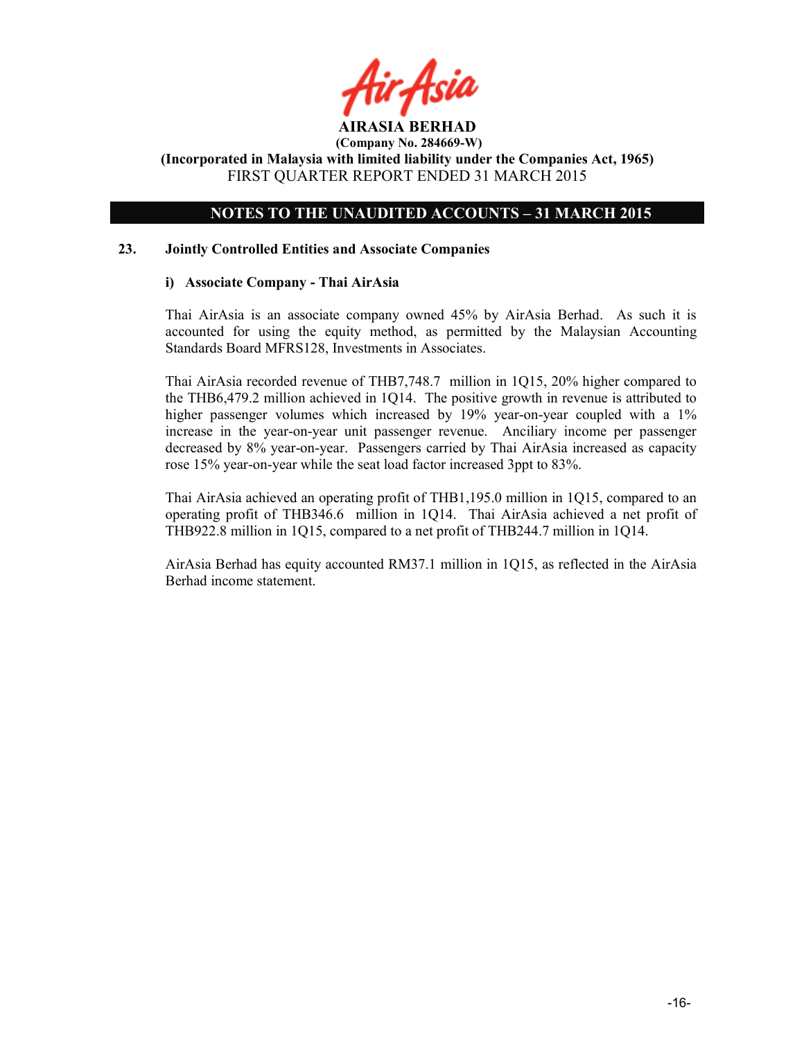# NOTES TO THE UNAUDITED ACCOUNTS – 31 MARCH 2015

### 23. Jointly Controlled Entities and Associate Companies

### i) Associate Company - Thai AirAsia

Thai AirAsia is an associate company owned 45% by AirAsia Berhad. As such it is accounted for using the equity method, as permitted by the Malaysian Accounting Standards Board MFRS128, Investments in Associates.

Thai AirAsia recorded revenue of THB7,748.7 million in 1Q15, 20% higher compared to the THB6,479.2 million achieved in 1Q14. The positive growth in revenue is attributed to higher passenger volumes which increased by 19% year-on-year coupled with a 1% increase in the year-on-year unit passenger revenue. Anciliary income per passenger decreased by 8% year-on-year. Passengers carried by Thai AirAsia increased as capacity rose 15% year-on-year while the seat load factor increased 3ppt to 83%.

Thai AirAsia achieved an operating profit of THB1,195.0 million in 1Q15, compared to an operating profit of THB346.6 million in 1Q14. Thai AirAsia achieved a net profit of THB922.8 million in 1Q15, compared to a net profit of THB244.7 million in 1Q14.

AirAsia Berhad has equity accounted RM37.1 million in 1Q15, as reflected in the AirAsia Berhad income statement.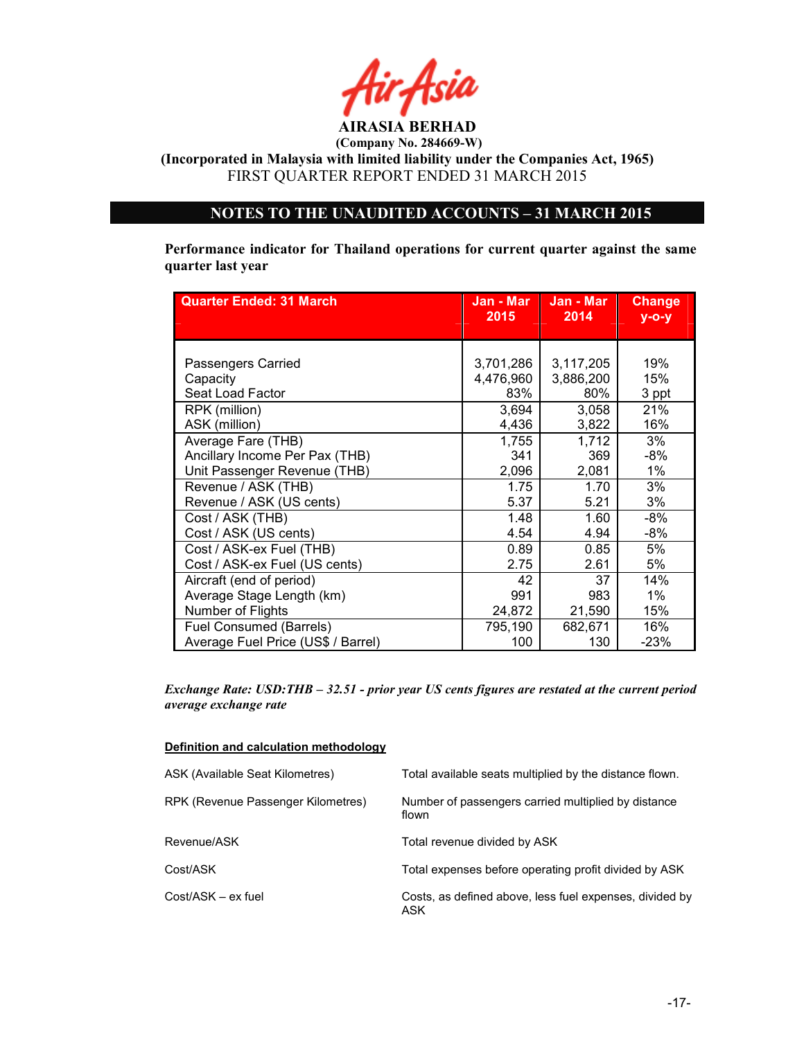

(Incorporated in Malaysia with limited liability under the Companies Act, 1965) FIRST QUARTER REPORT ENDED 31 MARCH 2015

# NOTES TO THE UNAUDITED ACCOUNTS – 31 MARCH 2015

Performance indicator for Thailand operations for current quarter against the same quarter last year

| <b>Quarter Ended: 31 March</b>     | Jan - Mar⊺<br>2015 | Jan - Mar<br>2014 | <b>Change</b><br>$V-O-V$ |
|------------------------------------|--------------------|-------------------|--------------------------|
|                                    |                    |                   |                          |
|                                    |                    |                   |                          |
| Passengers Carried                 | 3,701,286          | 3,117,205         | 19%                      |
| Capacity                           | 4,476,960          | 3,886,200         | 15%                      |
| Seat Load Factor                   | 83%                | 80%               | 3 ppt                    |
| RPK (million)                      | 3,694              | 3,058             | 21%                      |
| ASK (million)                      | 4,436              | 3,822             | 16%                      |
| Average Fare (THB)                 | 1,755              | 1,712             | 3%                       |
| Ancillary Income Per Pax (THB)     | 341                | 369               | -8%                      |
| Unit Passenger Revenue (THB)       | 2,096              | 2,081             | 1%                       |
| Revenue / ASK (THB)                | 1.75               | 1.70              | 3%                       |
| Revenue / ASK (US cents)           | 5.37               | 5.21              | 3%                       |
| Cost / ASK (THB)                   | 1.48               | 1.60              | -8%                      |
| Cost / ASK (US cents)              | 4.54               | 4.94              | $-8%$                    |
| Cost / ASK-ex Fuel (THB)           | 0.89               | 0.85              | 5%                       |
| Cost / ASK-ex Fuel (US cents)      | 2.75               | 2.61              | 5%                       |
| Aircraft (end of period)           | 42                 | 37                | 14%                      |
| Average Stage Length (km)          | 991                | 983               | $1\%$                    |
| Number of Flights                  | 24,872             | 21,590            | 15%                      |
| Fuel Consumed (Barrels)            | 795,190            | 682,671           | 16%                      |
| Average Fuel Price (US\$ / Barrel) | 100                | 130               | $-23%$                   |

Exchange Rate: USD:THB – 32.51 - prior year US cents figures are restated at the current period average exchange rate

#### Definition and calculation methodology

| ASK (Available Seat Kilometres)    | Total available seats multiplied by the distance flown.        |
|------------------------------------|----------------------------------------------------------------|
| RPK (Revenue Passenger Kilometres) | Number of passengers carried multiplied by distance<br>flown   |
| Revenue/ASK                        | Total revenue divided by ASK                                   |
| Cost/ASK                           | Total expenses before operating profit divided by ASK          |
| Cost/ASK - ex fuel                 | Costs, as defined above, less fuel expenses, divided by<br>ASK |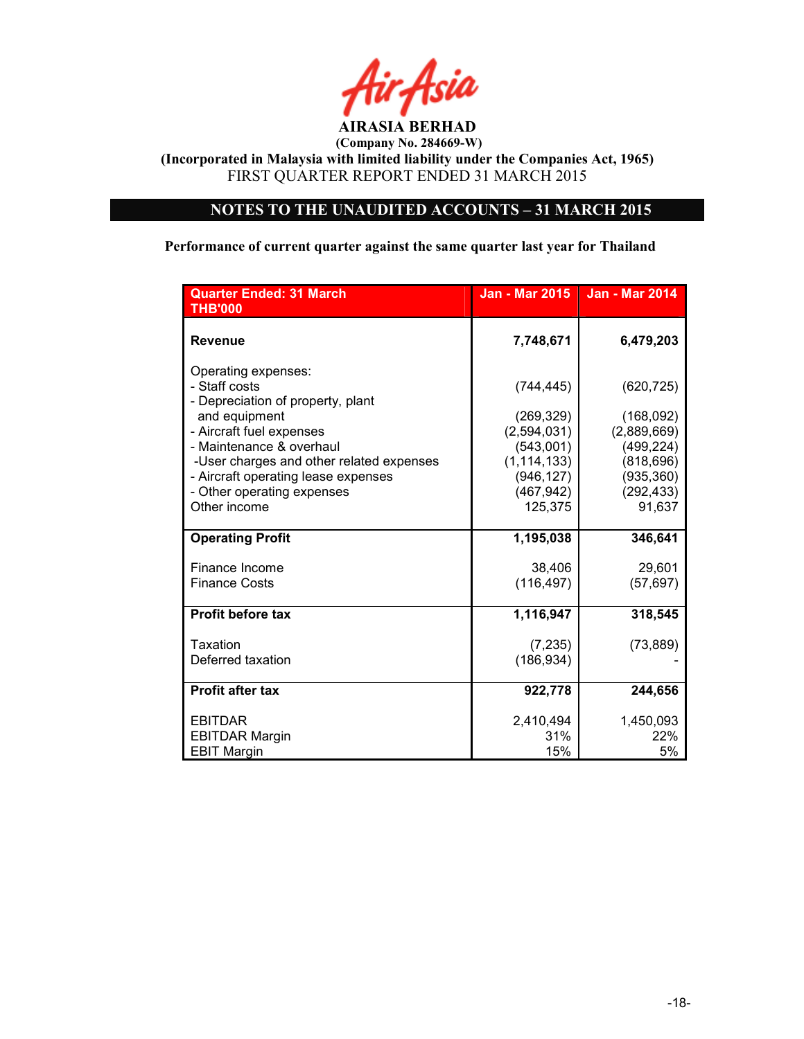

(Incorporated in Malaysia with limited liability under the Companies Act, 1965) FIRST QUARTER REPORT ENDED 31 MARCH 2015

# NOTES TO THE UNAUDITED ACCOUNTS – 31 MARCH 2015

Performance of current quarter against the same quarter last year for Thailand

| <b>Quarter Ended: 31 March</b><br><b>THB'000</b>                          | <b>Jan - Mar 2015</b> | <b>Jan - Mar 2014</b> |
|---------------------------------------------------------------------------|-----------------------|-----------------------|
| <b>Revenue</b>                                                            | 7,748,671             | 6,479,203             |
| Operating expenses:<br>- Staff costs<br>- Depreciation of property, plant | (744, 445)            | (620, 725)            |
| and equipment                                                             | (269, 329)            | (168,092)             |
| - Aircraft fuel expenses                                                  | (2,594,031)           | (2,889,669)           |
| - Maintenance & overhaul                                                  | (543,001)             | (499, 224)            |
| -User charges and other related expenses                                  | (1, 114, 133)         | (818, 696)            |
| - Aircraft operating lease expenses                                       | (946, 127)            | (935, 360)            |
| - Other operating expenses<br>Other income                                | (467, 942)<br>125,375 | (292, 433)<br>91,637  |
|                                                                           |                       |                       |
| <b>Operating Profit</b>                                                   | 1,195,038             | 346,641               |
| Finance Income                                                            | 38,406                | 29,601                |
| <b>Finance Costs</b>                                                      | (116, 497)            | (57, 697)             |
| <b>Profit before tax</b>                                                  | 1,116,947             | 318,545               |
| Taxation                                                                  | (7, 235)              | (73, 889)             |
| Deferred taxation                                                         | (186, 934)            |                       |
| <b>Profit after tax</b>                                                   | 922,778               | 244,656               |
| <b>EBITDAR</b>                                                            | 2,410,494             | 1,450,093             |
| <b>EBITDAR Margin</b>                                                     | 31%                   | 22%                   |
| <b>EBIT Margin</b>                                                        | 15%                   | 5%                    |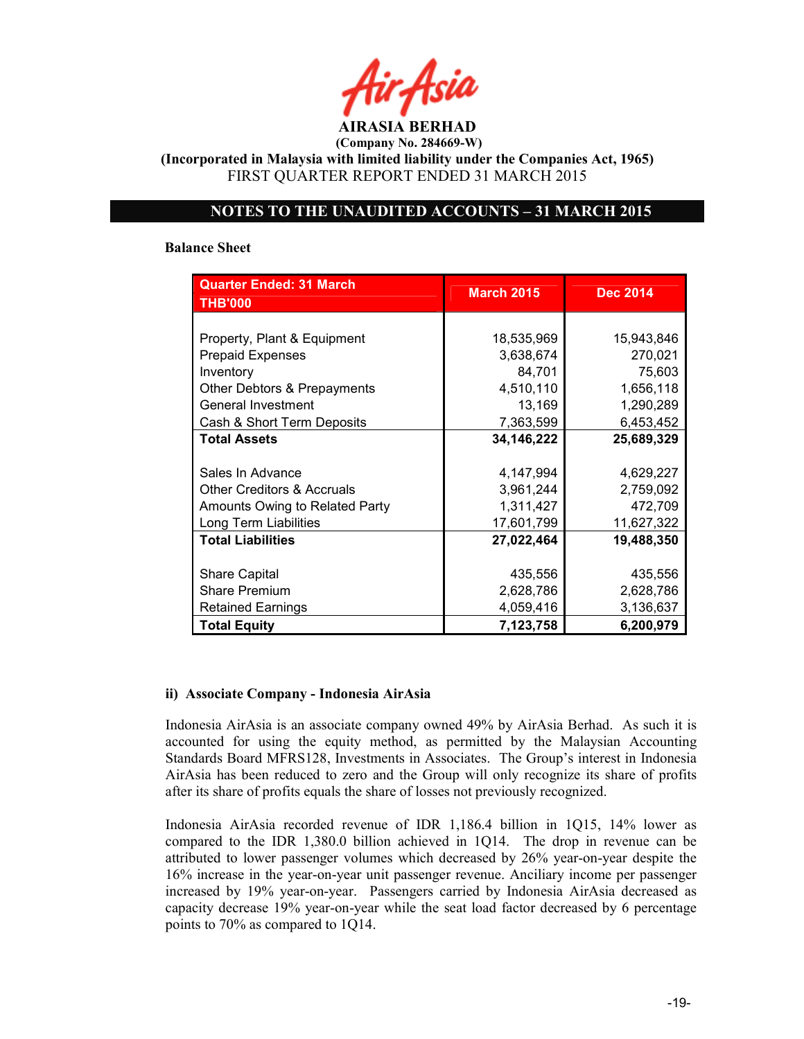AIRASIA BERHAD (Company No. 284669-W) (Incorporated in Malaysia with limited liability under the Companies Act, 1965)

FIRST QUARTER REPORT ENDED 31 MARCH 2015

## NOTES TO THE UNAUDITED ACCOUNTS – 31 MARCH 2015

#### Balance Sheet

| <b>Quarter Ended: 31 March</b><br><b>THB'000</b> | <b>March 2015</b> | <b>Dec 2014</b> |  |
|--------------------------------------------------|-------------------|-----------------|--|
|                                                  |                   |                 |  |
| Property, Plant & Equipment                      | 18,535,969        | 15,943,846      |  |
| <b>Prepaid Expenses</b>                          | 3,638,674         | 270,021         |  |
| Inventory                                        | 84,701            | 75,603          |  |
| Other Debtors & Prepayments                      | 4,510,110         | 1,656,118       |  |
| General Investment                               | 13,169            | 1,290,289       |  |
| Cash & Short Term Deposits                       | 7,363,599         | 6,453,452       |  |
| <b>Total Assets</b>                              | 34, 146, 222      | 25,689,329      |  |
|                                                  |                   |                 |  |
| Sales In Advance                                 | 4,147,994         | 4,629,227       |  |
| <b>Other Creditors &amp; Accruals</b>            | 3,961,244         | 2,759,092       |  |
| Amounts Owing to Related Party                   | 1,311,427         | 472,709         |  |
| Long Term Liabilities                            | 17,601,799        | 11,627,322      |  |
| <b>Total Liabilities</b>                         | 27,022,464        | 19,488,350      |  |
|                                                  |                   |                 |  |
| <b>Share Capital</b>                             | 435,556           | 435,556         |  |
| <b>Share Premium</b>                             | 2,628,786         | 2,628,786       |  |
| <b>Retained Earnings</b>                         | 4,059,416         | 3,136,637       |  |
| <b>Total Equity</b>                              | 7,123,758         | 6,200,979       |  |

### ii) Associate Company - Indonesia AirAsia

Indonesia AirAsia is an associate company owned 49% by AirAsia Berhad. As such it is accounted for using the equity method, as permitted by the Malaysian Accounting Standards Board MFRS128, Investments in Associates. The Group's interest in Indonesia AirAsia has been reduced to zero and the Group will only recognize its share of profits after its share of profits equals the share of losses not previously recognized.

Indonesia AirAsia recorded revenue of IDR 1,186.4 billion in 1Q15, 14% lower as compared to the IDR 1,380.0 billion achieved in 1Q14. The drop in revenue can be attributed to lower passenger volumes which decreased by 26% year-on-year despite the 16% increase in the year-on-year unit passenger revenue. Anciliary income per passenger increased by 19% year-on-year. Passengers carried by Indonesia AirAsia decreased as capacity decrease 19% year-on-year while the seat load factor decreased by 6 percentage points to 70% as compared to 1Q14.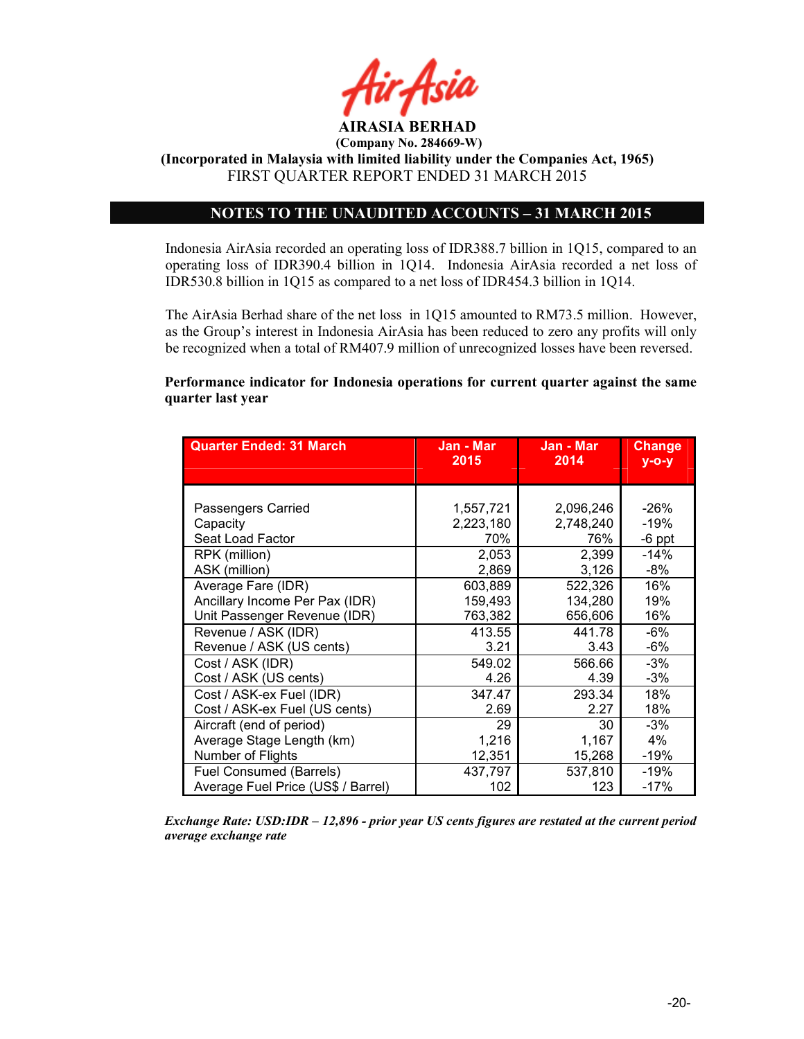

# NOTES TO THE UNAUDITED ACCOUNTS – 31 MARCH 2015

Indonesia AirAsia recorded an operating loss of IDR388.7 billion in 1Q15, compared to an operating loss of IDR390.4 billion in 1Q14. Indonesia AirAsia recorded a net loss of IDR530.8 billion in 1Q15 as compared to a net loss of IDR454.3 billion in 1Q14.

The AirAsia Berhad share of the net loss in 1Q15 amounted to RM73.5 million. However, as the Group's interest in Indonesia AirAsia has been reduced to zero any profits will only be recognized when a total of RM407.9 million of unrecognized losses have been reversed.

### Performance indicator for Indonesia operations for current quarter against the same quarter last year

| <b>Quarter Ended: 31 March</b>     | Jan - Mar<br>2015 | Jan - Mar<br>2014 | <b>Change</b><br>$y - o - y$ |
|------------------------------------|-------------------|-------------------|------------------------------|
|                                    |                   |                   |                              |
|                                    |                   |                   |                              |
| Passengers Carried                 | 1,557,721         | 2,096,246         | $-26%$                       |
| Capacity                           | 2,223,180         | 2,748,240         | -19%                         |
| Seat Load Factor                   | 70%               | 76%               | $-6$ ppt                     |
| RPK (million)                      | 2,053             | 2,399             | -14%                         |
| ASK (million)                      | 2,869             | 3,126             | -8%                          |
| Average Fare (IDR)                 | 603,889           | 522,326           | 16%                          |
| Ancillary Income Per Pax (IDR)     | 159,493           | 134,280           | 19%                          |
| Unit Passenger Revenue (IDR)       | 763,382           | 656,606           | 16%                          |
| Revenue / ASK (IDR)                | 413.55            | 441.78            | -6%                          |
| Revenue / ASK (US cents)           | 3.21              | 3.43              | $-6%$                        |
| Cost / ASK (IDR)                   | 549.02            | 566.66            | -3%                          |
| Cost / ASK (US cents)              | 4.26              | 4.39              | $-3%$                        |
| Cost / ASK-ex Fuel (IDR)           | 347.47            | 293.34            | 18%                          |
| Cost / ASK-ex Fuel (US cents)      | 2.69              | 2.27              | 18%                          |
| Aircraft (end of period)           | 29                | 30                | $-3%$                        |
| Average Stage Length (km)          | 1,216             | 1,167             | 4%                           |
| Number of Flights                  | 12,351            | 15,268            | -19%                         |
| Fuel Consumed (Barrels)            | 437,797           | 537,810           | -19%                         |
| Average Fuel Price (US\$ / Barrel) | 102               | 123               | $-17%$                       |

Exchange Rate: USD:IDR – 12,896 - prior year US cents figures are restated at the current period average exchange rate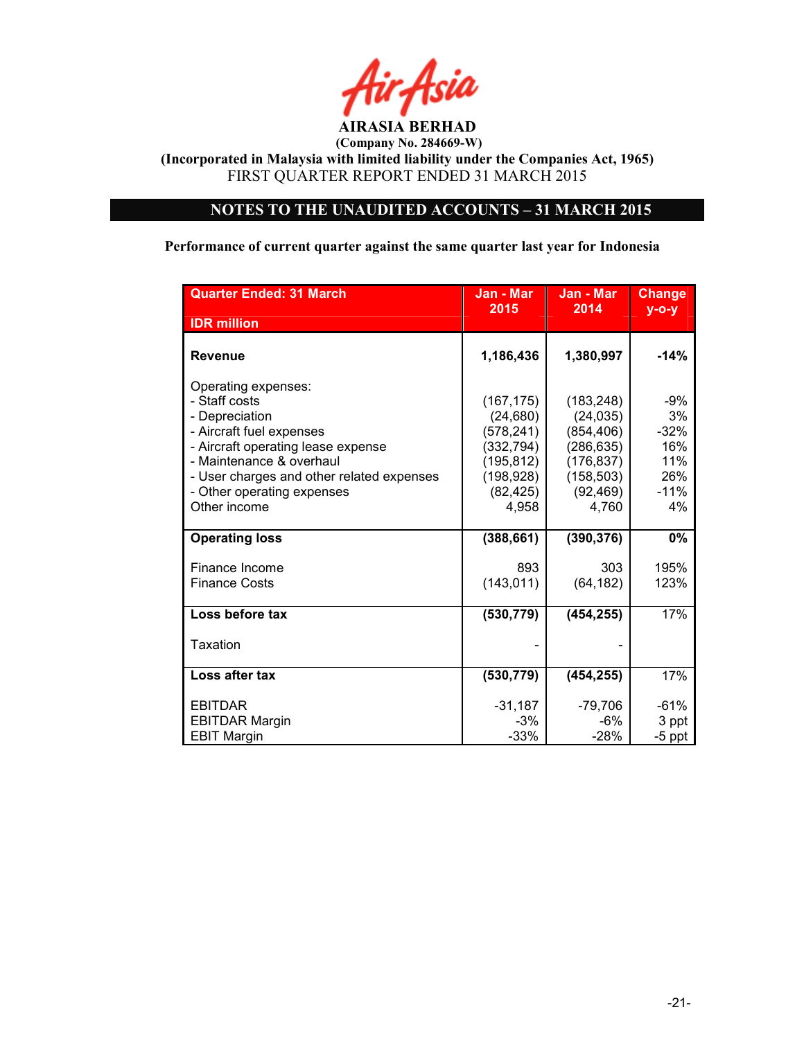

(Incorporated in Malaysia with limited liability under the Companies Act, 1965) FIRST QUARTER REPORT ENDED 31 MARCH 2015

# NOTES TO THE UNAUDITED ACCOUNTS – 31 MARCH 2015

# Performance of current quarter against the same quarter last year for Indonesia

| <b>Quarter Ended: 31 March</b>                                                                              | Jan - Mar<br>2015                      | Jan - Mar<br>2014                      | <b>Change</b>     |
|-------------------------------------------------------------------------------------------------------------|----------------------------------------|----------------------------------------|-------------------|
| <b>IDR</b> million                                                                                          |                                        |                                        | $y - o - y$       |
| <b>Revenue</b>                                                                                              | 1,186,436                              | 1,380,997                              | -14%              |
| Operating expenses:<br>- Staff costs<br>- Depreciation                                                      | (167, 175)<br>(24, 680)                | (183, 248)<br>(24, 035)                | -9%<br>3%         |
| - Aircraft fuel expenses                                                                                    | (578, 241)                             | (854, 406)                             | $-32%$            |
| - Aircraft operating lease expense<br>- Maintenance & overhaul<br>- User charges and other related expenses | (332, 794)<br>(195, 812)<br>(198, 928) | (286, 635)<br>(176, 837)<br>(158, 503) | 16%<br>11%<br>26% |
| - Other operating expenses<br>Other income                                                                  | (82, 425)<br>4,958                     | (92, 469)<br>4,760                     | $-11%$<br>4%      |
| <b>Operating loss</b>                                                                                       | (388, 661)                             | (390, 376)                             | $0\%$             |
| Finance Income                                                                                              | 893                                    | 303                                    | 195%              |
| <b>Finance Costs</b>                                                                                        | (143, 011)                             | (64, 182)                              | 123%              |
| Loss before tax                                                                                             | (530, 779)                             | (454, 255)                             | 17%               |
| Taxation                                                                                                    |                                        |                                        |                   |
| Loss after tax                                                                                              | (530, 779)                             | (454, 255)                             | 17%               |
| <b>EBITDAR</b>                                                                                              | $-31,187$                              | $-79,706$                              | $-61%$            |
| <b>EBITDAR Margin</b><br><b>EBIT Margin</b>                                                                 | $-3%$<br>$-33%$                        | -6%<br>$-28%$                          | 3 ppt<br>$-5$ ppt |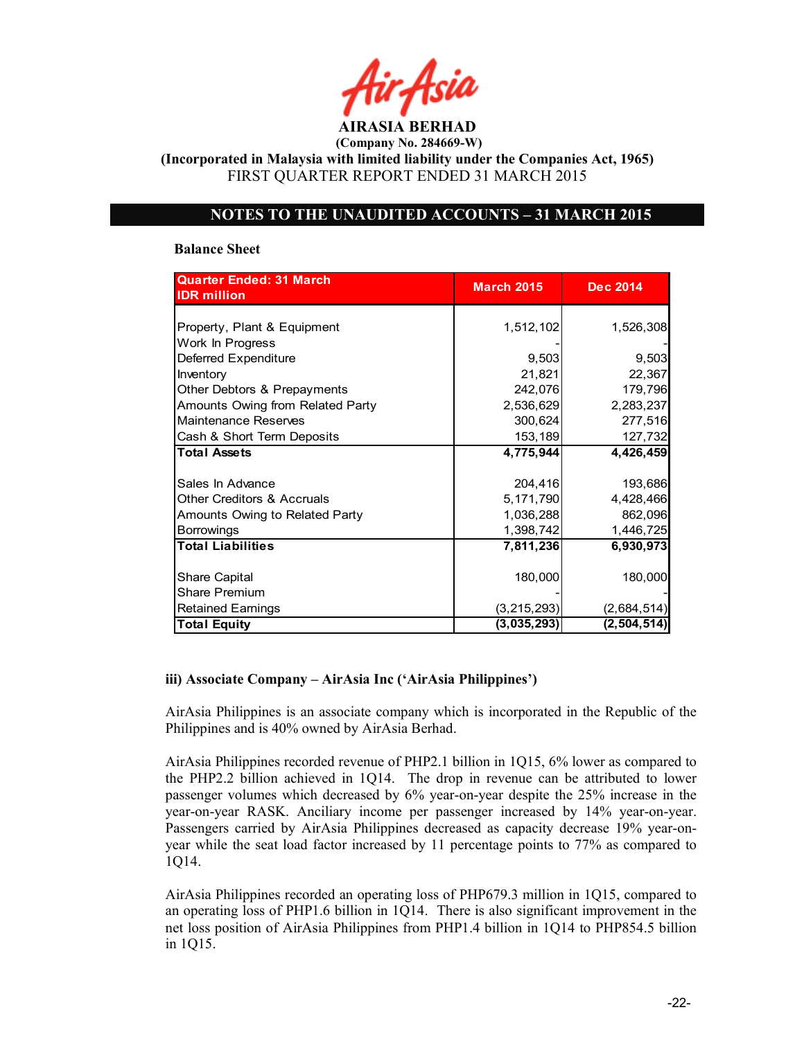AIRASIA BERHAD (Company No. 284669-W)

(Incorporated in Malaysia with limited liability under the Companies Act, 1965) FIRST QUARTER REPORT ENDED 31 MARCH 2015

### NOTES TO THE UNAUDITED ACCOUNTS – 31 MARCH 2015

#### Balance Sheet

| <b>Quarter Ended: 31 March</b><br><b>IDR</b> million | <b>March 2015</b> | <b>Dec 2014</b> |
|------------------------------------------------------|-------------------|-----------------|
|                                                      |                   |                 |
| Property, Plant & Equipment                          | 1,512,102         | 1,526,308       |
| Work In Progress                                     |                   |                 |
| Deferred Expenditure                                 | 9,503             | 9,503           |
| Inventory                                            | 21,821            | 22,367          |
| Other Debtors & Prepayments                          | 242,076           | 179,796         |
| Amounts Owing from Related Party                     | 2,536,629         | 2,283,237       |
| Maintenance Reserves                                 | 300,624           | 277,516         |
| Cash & Short Term Deposits                           | 153,189           | 127,732         |
| <b>Total Assets</b>                                  | 4,775,944         | 4,426,459       |
|                                                      |                   |                 |
| Sales In Advance                                     | 204,416           | 193,686         |
| <b>Other Creditors &amp; Accruals</b>                | 5,171,790         | 4,428,466       |
| Amounts Owing to Related Party                       | 1,036,288         | 862,096         |
| <b>Borrowings</b>                                    | 1,398,742         | 1,446,725       |
| <b>Total Liabilities</b>                             | 7,811,236         | 6.930.973       |
|                                                      |                   |                 |
| Share Capital                                        | 180,000           | 180,000         |
| <b>Share Premium</b>                                 |                   |                 |
| <b>Retained Earnings</b>                             | (3, 215, 293)     | (2,684,514)     |
| <b>Total Equity</b>                                  | (3,035,293)       | (2, 504, 514)   |

#### iii) Associate Company – AirAsia Inc ('AirAsia Philippines')

AirAsia Philippines is an associate company which is incorporated in the Republic of the Philippines and is 40% owned by AirAsia Berhad.

AirAsia Philippines recorded revenue of PHP2.1 billion in 1Q15, 6% lower as compared to the PHP2.2 billion achieved in 1Q14. The drop in revenue can be attributed to lower passenger volumes which decreased by 6% year-on-year despite the 25% increase in the year-on-year RASK. Anciliary income per passenger increased by 14% year-on-year. Passengers carried by AirAsia Philippines decreased as capacity decrease 19% year-onyear while the seat load factor increased by 11 percentage points to 77% as compared to 1Q14.

AirAsia Philippines recorded an operating loss of PHP679.3 million in 1Q15, compared to an operating loss of PHP1.6 billion in 1Q14. There is also significant improvement in the net loss position of AirAsia Philippines from PHP1.4 billion in 1Q14 to PHP854.5 billion in 1Q15.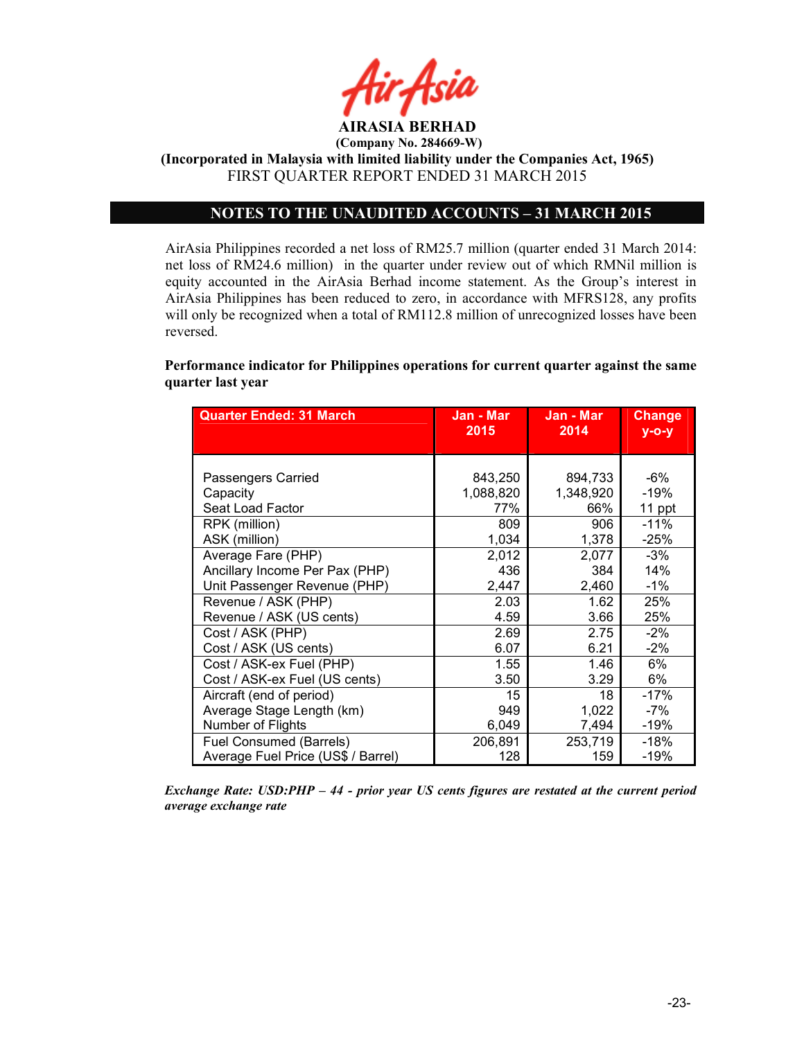

(Incorporated in Malaysia with limited liability under the Companies Act, 1965) FIRST QUARTER REPORT ENDED 31 MARCH 2015

# NOTES TO THE UNAUDITED ACCOUNTS – 31 MARCH 2015

AirAsia Philippines recorded a net loss of RM25.7 million (quarter ended 31 March 2014: net loss of RM24.6 million) in the quarter under review out of which RMNil million is equity accounted in the AirAsia Berhad income statement. As the Group's interest in AirAsia Philippines has been reduced to zero, in accordance with MFRS128, any profits will only be recognized when a total of RM112.8 million of unrecognized losses have been reversed.

Performance indicator for Philippines operations for current quarter against the same quarter last year

| <b>Quarter Ended: 31 March</b>     | Jan - Mar<br>2015 | Jan - Mar<br>2014 | <b>Change</b><br>$y$ -o-y |
|------------------------------------|-------------------|-------------------|---------------------------|
|                                    |                   |                   |                           |
|                                    |                   |                   |                           |
| Passengers Carried                 | 843,250           | 894,733           | -6%                       |
| Capacity                           | 1,088,820         | 1,348,920         | $-19%$                    |
| Seat Load Factor                   | 77%               | 66%               | 11 ppt                    |
| RPK (million)                      | 809               | 906               | $-11%$                    |
| ASK (million)                      | 1,034             | 1,378             | $-25%$                    |
| Average Fare (PHP)                 | 2,012             | 2,077             | $-3%$                     |
| Ancillary Income Per Pax (PHP)     | 436               | 384               | 14%                       |
| Unit Passenger Revenue (PHP)       | 2,447             | 2,460             | $-1\%$                    |
| Revenue / ASK (PHP)                | 2.03              | 1.62              | 25%                       |
| Revenue / ASK (US cents)           | 4.59              | 3.66              | 25%                       |
| Cost / ASK (PHP)                   | 2.69              | 2.75              | $-2\%$                    |
| Cost / ASK (US cents)              | 6.07              | 6.21              | $-2\%$                    |
| Cost / ASK-ex Fuel (PHP)           | 1.55              | 1.46              | 6%                        |
| Cost / ASK-ex Fuel (US cents)      | 3.50              | 3.29              | 6%                        |
| Aircraft (end of period)           | 15                | 18                | $-17%$                    |
| Average Stage Length (km)          | 949               | 1,022             | -7%                       |
| Number of Flights                  | 6,049             | 7,494             | $-19%$                    |
| Fuel Consumed (Barrels)            | 206,891           | 253,719           | $-18%$                    |
| Average Fuel Price (US\$ / Barrel) | 128               | 159               | $-19%$                    |

Exchange Rate: USD:PHP – 44 - prior year US cents figures are restated at the current period average exchange rate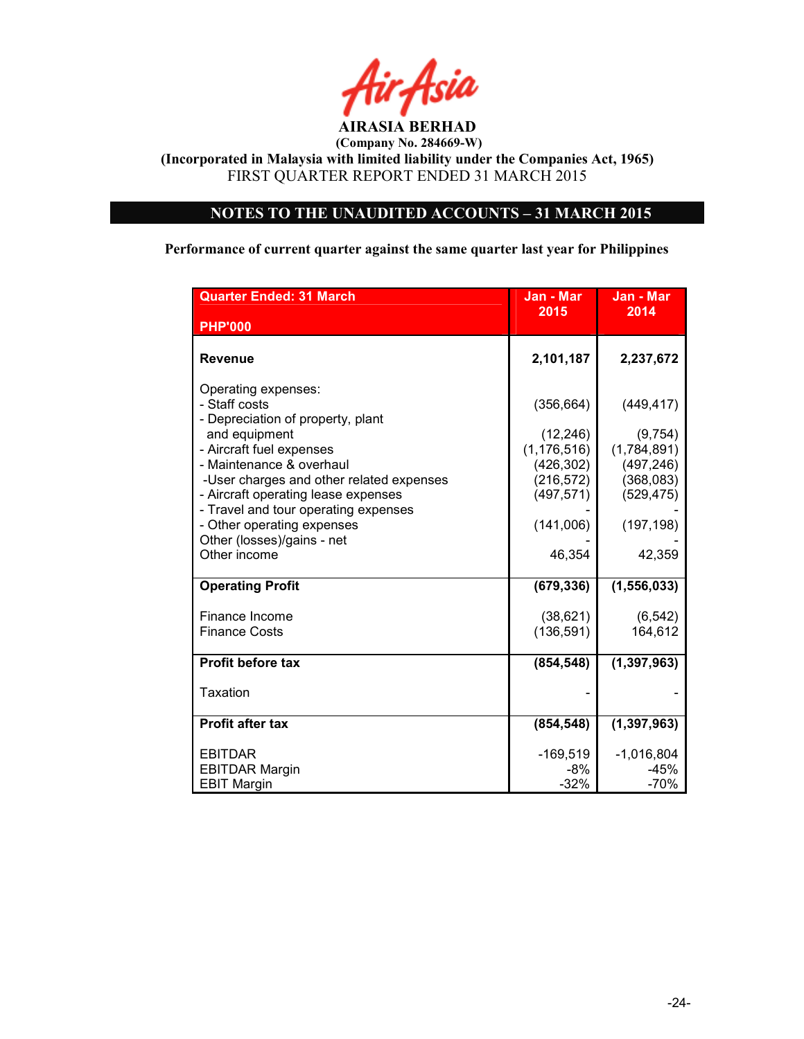

(Incorporated in Malaysia with limited liability under the Companies Act, 1965) FIRST QUARTER REPORT ENDED 31 MARCH 2015

# NOTES TO THE UNAUDITED ACCOUNTS – 31 MARCH 2015

Performance of current quarter against the same quarter last year for Philippines

| <b>Quarter Ended: 31 March</b>                                                                                                                                                                                                                                                                                                                            | Jan - Mar                                                                                                 | Jan - Mar                                                                                             |
|-----------------------------------------------------------------------------------------------------------------------------------------------------------------------------------------------------------------------------------------------------------------------------------------------------------------------------------------------------------|-----------------------------------------------------------------------------------------------------------|-------------------------------------------------------------------------------------------------------|
| <b>PHP'000</b>                                                                                                                                                                                                                                                                                                                                            | 2015                                                                                                      | 2014                                                                                                  |
| <b>Revenue</b>                                                                                                                                                                                                                                                                                                                                            | 2,101,187                                                                                                 | 2,237,672                                                                                             |
| Operating expenses:<br>- Staff costs<br>- Depreciation of property, plant<br>and equipment<br>- Aircraft fuel expenses<br>- Maintenance & overhaul<br>-User charges and other related expenses<br>- Aircraft operating lease expenses<br>- Travel and tour operating expenses<br>- Other operating expenses<br>Other (losses)/gains - net<br>Other income | (356, 664)<br>(12, 246)<br>(1, 176, 516)<br>(426, 302)<br>(216, 572)<br>(497, 571)<br>(141,006)<br>46,354 | (449, 417)<br>(9,754)<br>(1,784,891)<br>(497, 246)<br>(368,083)<br>(529, 475)<br>(197, 198)<br>42,359 |
| <b>Operating Profit</b>                                                                                                                                                                                                                                                                                                                                   | (679, 336)                                                                                                | (1, 556, 033)                                                                                         |
| Finance Income<br><b>Finance Costs</b>                                                                                                                                                                                                                                                                                                                    | (38, 621)<br>(136, 591)                                                                                   | (6, 542)<br>164,612                                                                                   |
| <b>Profit before tax</b>                                                                                                                                                                                                                                                                                                                                  | (854, 548)                                                                                                | (1, 397, 963)                                                                                         |
| Taxation                                                                                                                                                                                                                                                                                                                                                  |                                                                                                           |                                                                                                       |
| <b>Profit after tax</b>                                                                                                                                                                                                                                                                                                                                   | (854, 548)                                                                                                | (1, 397, 963)                                                                                         |
| <b>EBITDAR</b><br><b>EBITDAR Margin</b><br><b>EBIT Margin</b>                                                                                                                                                                                                                                                                                             | $-169,519$<br>-8%<br>$-32%$                                                                               | $-1,016,804$<br>-45%<br>$-70%$                                                                        |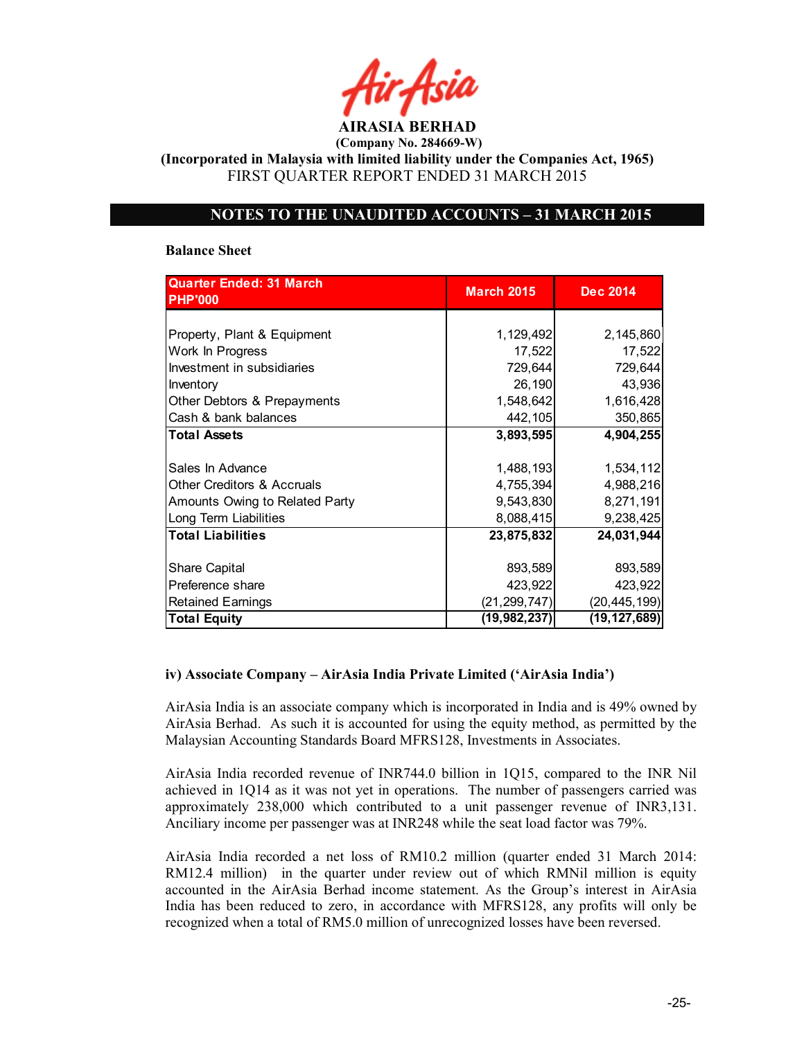AIRASIA BERHAD (Company No. 284669-W)

(Incorporated in Malaysia with limited liability under the Companies Act, 1965) FIRST QUARTER REPORT ENDED 31 MARCH 2015

### NOTES TO THE UNAUDITED ACCOUNTS – 31 MARCH 2015

#### Balance Sheet

| <b>Quarter Ended: 31 March</b>        | <b>March 2015</b> | <b>Dec 2014</b> |  |
|---------------------------------------|-------------------|-----------------|--|
| <b>PHP'000</b>                        |                   |                 |  |
|                                       |                   |                 |  |
| Property, Plant & Equipment           | 1,129,492         | 2,145,860       |  |
| Work In Progress                      | 17,522            | 17,522          |  |
| Investment in subsidiaries            | 729,644           | 729,644         |  |
| Inventory                             | 26,190            | 43,936          |  |
| Other Debtors & Prepayments           | 1,548,642         | 1,616,428       |  |
| Cash & bank balances                  | 442,105           | 350,865         |  |
| <b>Total Assets</b>                   | 3,893,595         | 4,904,255       |  |
|                                       |                   |                 |  |
| Sales In Advance                      | 1,488,193         | 1,534,112       |  |
| <b>Other Creditors &amp; Accruals</b> | 4,755,394         | 4,988,216       |  |
| Amounts Owing to Related Party        | 9,543,830         | 8,271,191       |  |
| Long Term Liabilities                 | 8,088,415         | 9,238,425       |  |
| <b>Total Liabilities</b>              | 23,875,832        | 24,031,944      |  |
|                                       |                   |                 |  |
| <b>Share Capital</b>                  | 893,589           | 893,589         |  |
| Preference share                      | 423,922           | 423,922         |  |
| <b>Retained Earnings</b>              | (21, 299, 747)    | (20, 445, 199)  |  |
| <b>Total Equity</b>                   | (19,982,237)      | (19, 127, 689)  |  |

### iv) Associate Company – AirAsia India Private Limited ('AirAsia India')

AirAsia India is an associate company which is incorporated in India and is 49% owned by AirAsia Berhad. As such it is accounted for using the equity method, as permitted by the Malaysian Accounting Standards Board MFRS128, Investments in Associates.

AirAsia India recorded revenue of INR744.0 billion in 1Q15, compared to the INR Nil achieved in 1Q14 as it was not yet in operations. The number of passengers carried was approximately 238,000 which contributed to a unit passenger revenue of INR3,131. Anciliary income per passenger was at INR248 while the seat load factor was 79%.

AirAsia India recorded a net loss of RM10.2 million (quarter ended 31 March 2014: RM12.4 million) in the quarter under review out of which RMNil million is equity accounted in the AirAsia Berhad income statement. As the Group's interest in AirAsia India has been reduced to zero, in accordance with MFRS128, any profits will only be recognized when a total of RM5.0 million of unrecognized losses have been reversed.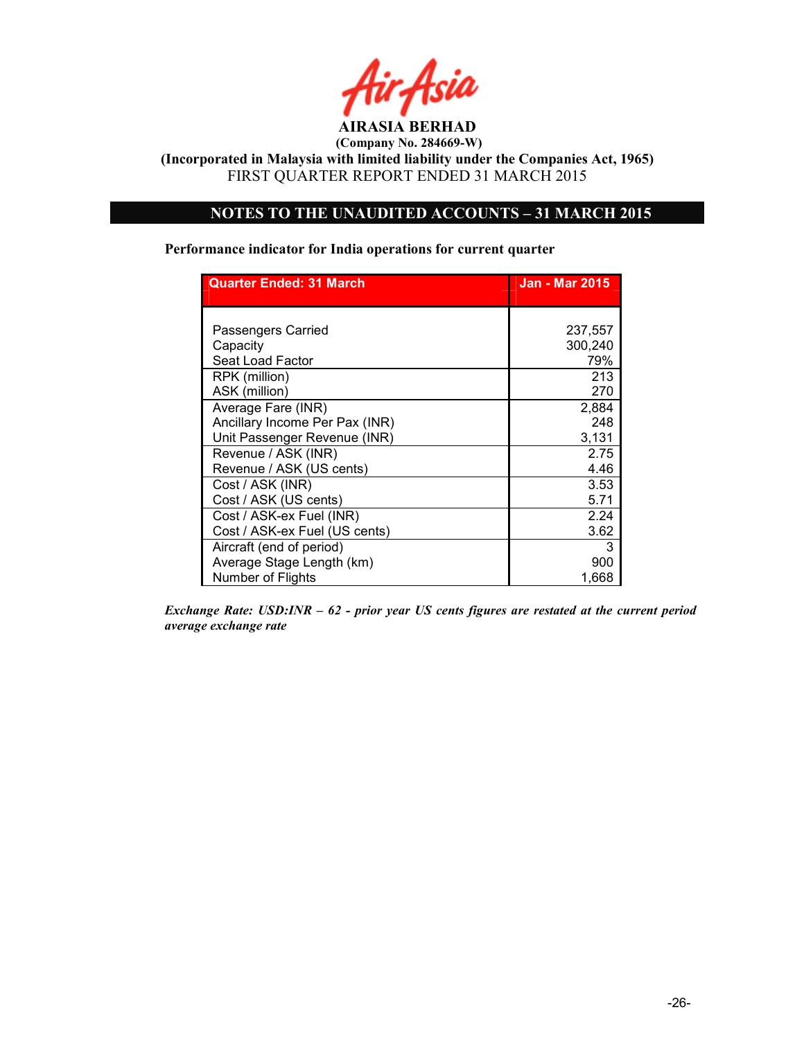

(Incorporated in Malaysia with limited liability under the Companies Act, 1965) FIRST QUARTER REPORT ENDED 31 MARCH 2015

# NOTES TO THE UNAUDITED ACCOUNTS – 31 MARCH 2015

#### Performance indicator for India operations for current quarter

| <b>Quarter Ended: 31 March</b> | <b>Jan - Mar 2015</b> |
|--------------------------------|-----------------------|
|                                |                       |
| <b>Passengers Carried</b>      | 237,557               |
| Capacity                       | 300,240               |
| Seat Load Factor               | 79%                   |
| RPK (million)                  | 213                   |
| ASK (million)                  | 270                   |
| Average Fare (INR)             | 2,884                 |
| Ancillary Income Per Pax (INR) | 248                   |
| Unit Passenger Revenue (INR)   | 3,131                 |
| Revenue / ASK (INR)            | 2.75                  |
| Revenue / ASK (US cents)       | 4.46                  |
| Cost / ASK (INR)               | 3.53                  |
| Cost / ASK (US cents)          | 5.71                  |
| Cost / ASK-ex Fuel (INR)       | 2.24                  |
| Cost / ASK-ex Fuel (US cents)  | 3.62                  |
| Aircraft (end of period)       | 3                     |
| Average Stage Length (km)      | 900                   |
| Number of Flights              | 1,668                 |

Exchange Rate: USD:INR – 62 - prior year US cents figures are restated at the current period average exchange rate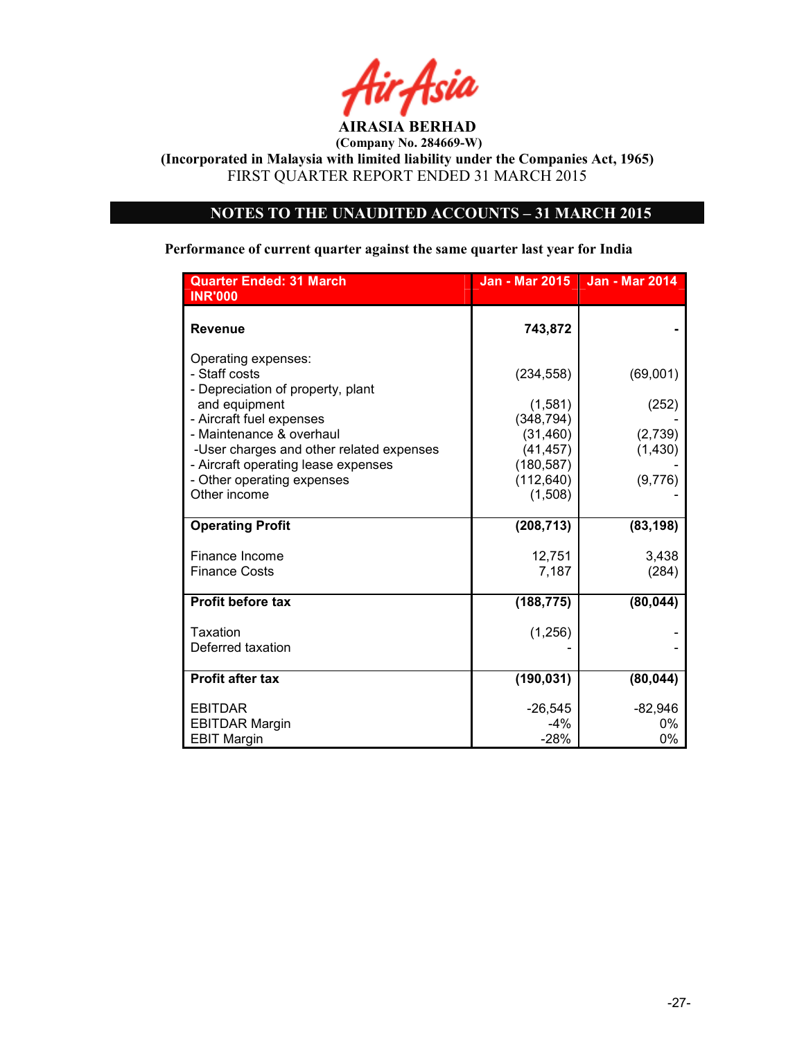

(Incorporated in Malaysia with limited liability under the Companies Act, 1965) FIRST QUARTER REPORT ENDED 31 MARCH 2015

# NOTES TO THE UNAUDITED ACCOUNTS – 31 MARCH 2015

# Performance of current quarter against the same quarter last year for India

| <b>Quarter Ended: 31 March</b><br><b>INR'000</b>                                  | <b>Jan - Mar 2015</b>               | <b>Jan - Mar 2014</b> |
|-----------------------------------------------------------------------------------|-------------------------------------|-----------------------|
| <b>Revenue</b>                                                                    | 743,872                             |                       |
| Operating expenses:<br>- Staff costs<br>- Depreciation of property, plant         | (234, 558)                          | (69,001)              |
| and equipment<br>- Aircraft fuel expenses                                         | (1,581)<br>(348, 794)               | (252)                 |
| - Maintenance & overhaul<br>-User charges and other related expenses              | (31, 460)<br>(41, 457)              | (2,739)<br>(1, 430)   |
| - Aircraft operating lease expenses<br>- Other operating expenses<br>Other income | (180, 587)<br>(112, 640)<br>(1,508) | (9,776)               |
| <b>Operating Profit</b>                                                           | (208, 713)                          | (83, 198)             |
| Finance Income<br><b>Finance Costs</b>                                            | 12,751<br>7,187                     | 3,438<br>(284)        |
| <b>Profit before tax</b>                                                          | (188, 775)                          | (80, 044)             |
| Taxation<br>Deferred taxation                                                     | (1, 256)                            |                       |
| <b>Profit after tax</b>                                                           | (190, 031)                          | (80, 044)             |
| <b>EBITDAR</b><br><b>EBITDAR Margin</b><br><b>EBIT Margin</b>                     | $-26,545$<br>$-4%$<br>$-28%$        | $-82,946$<br>0%<br>0% |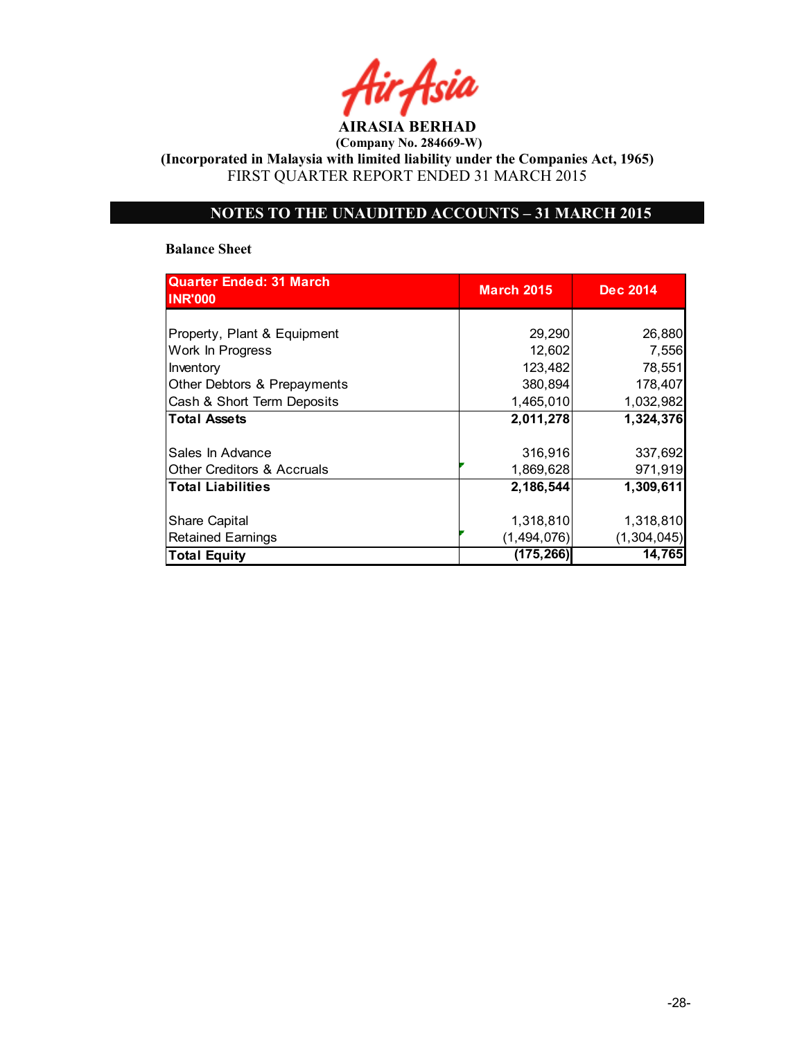AIRASIA BERHAD

(Incorporated in Malaysia with limited liability under the Companies Act, 1965) FIRST QUARTER REPORT ENDED 31 MARCH 2015

# NOTES TO THE UNAUDITED ACCOUNTS – 31 MARCH 2015

#### Balance Sheet

| <b>Quarter Ended: 31 March</b><br><b>INR'000</b> | <b>March 2015</b> | <b>Dec 2014</b> |
|--------------------------------------------------|-------------------|-----------------|
|                                                  |                   |                 |
| Property, Plant & Equipment                      | 29,290            | 26,880          |
| Work In Progress                                 | 12,602            | 7,556           |
| Inventory                                        | 123,482           | 78,551          |
| Other Debtors & Prepayments                      | 380,894           | 178,407         |
| Cash & Short Term Deposits                       | 1,465,010         | 1,032,982       |
| <b>Total Assets</b>                              | 2,011,278         | 1,324,376       |
|                                                  |                   |                 |
| Sales In Advance                                 | 316,916           | 337,692         |
| <b>Other Creditors &amp; Accruals</b>            | 1,869,628         | 971,919         |
| <b>Total Liabilities</b>                         | 2,186,544         | 1,309,611       |
| <b>Share Capital</b>                             | 1,318,810         | 1,318,810       |
| <b>Retained Earnings</b>                         | (1,494,076)       | (1, 304, 045)   |
| <b>Total Equity</b>                              | (175, 266)        | 14,765          |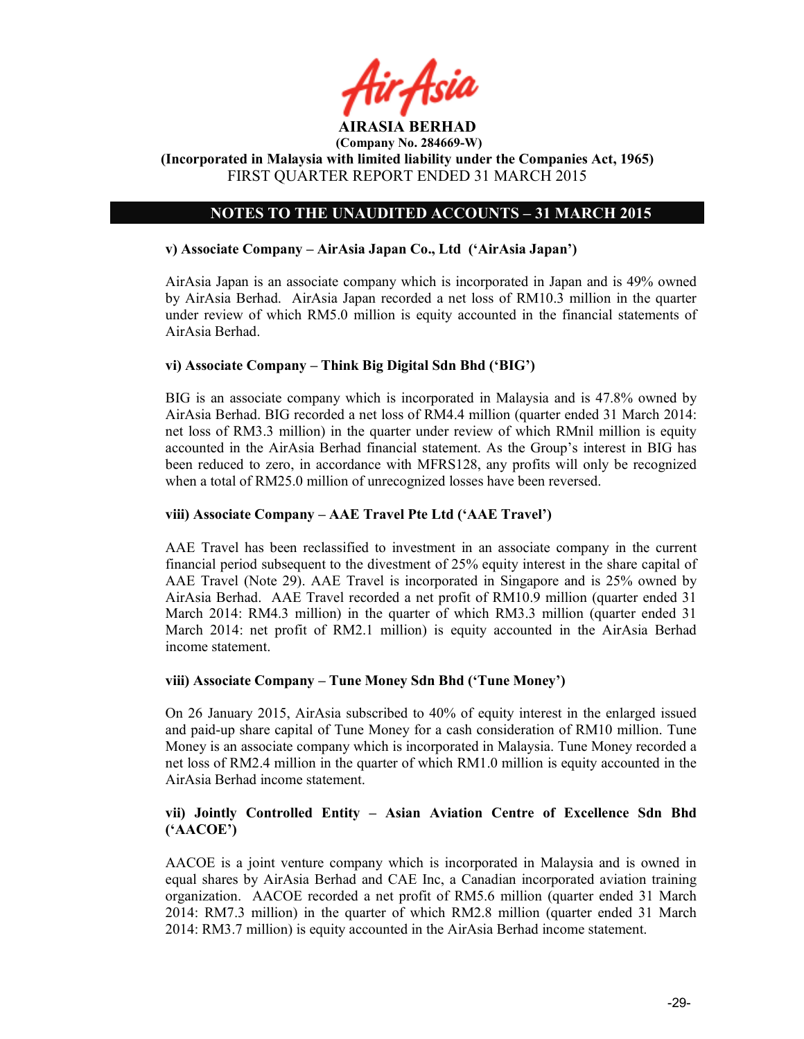

# NOTES TO THE UNAUDITED ACCOUNTS – 31 MARCH 2015

### v) Associate Company – AirAsia Japan Co., Ltd ('AirAsia Japan')

AirAsia Japan is an associate company which is incorporated in Japan and is 49% owned by AirAsia Berhad. AirAsia Japan recorded a net loss of RM10.3 million in the quarter under review of which RM5.0 million is equity accounted in the financial statements of AirAsia Berhad.

### vi) Associate Company – Think Big Digital Sdn Bhd ('BIG')

BIG is an associate company which is incorporated in Malaysia and is 47.8% owned by AirAsia Berhad. BIG recorded a net loss of RM4.4 million (quarter ended 31 March 2014: net loss of RM3.3 million) in the quarter under review of which RMnil million is equity accounted in the AirAsia Berhad financial statement. As the Group's interest in BIG has been reduced to zero, in accordance with MFRS128, any profits will only be recognized when a total of RM25.0 million of unrecognized losses have been reversed.

### viii) Associate Company – AAE Travel Pte Ltd ('AAE Travel')

AAE Travel has been reclassified to investment in an associate company in the current financial period subsequent to the divestment of 25% equity interest in the share capital of AAE Travel (Note 29). AAE Travel is incorporated in Singapore and is 25% owned by AirAsia Berhad. AAE Travel recorded a net profit of RM10.9 million (quarter ended 31 March 2014: RM4.3 million) in the quarter of which RM3.3 million (quarter ended 31 March 2014: net profit of RM2.1 million) is equity accounted in the AirAsia Berhad income statement.

### viii) Associate Company – Tune Money Sdn Bhd ('Tune Money')

On 26 January 2015, AirAsia subscribed to 40% of equity interest in the enlarged issued and paid-up share capital of Tune Money for a cash consideration of RM10 million. Tune Money is an associate company which is incorporated in Malaysia. Tune Money recorded a net loss of RM2.4 million in the quarter of which RM1.0 million is equity accounted in the AirAsia Berhad income statement.

### vii) Jointly Controlled Entity – Asian Aviation Centre of Excellence Sdn Bhd ('AACOE')

AACOE is a joint venture company which is incorporated in Malaysia and is owned in equal shares by AirAsia Berhad and CAE Inc, a Canadian incorporated aviation training organization. AACOE recorded a net profit of RM5.6 million (quarter ended 31 March 2014: RM7.3 million) in the quarter of which RM2.8 million (quarter ended 31 March 2014: RM3.7 million) is equity accounted in the AirAsia Berhad income statement.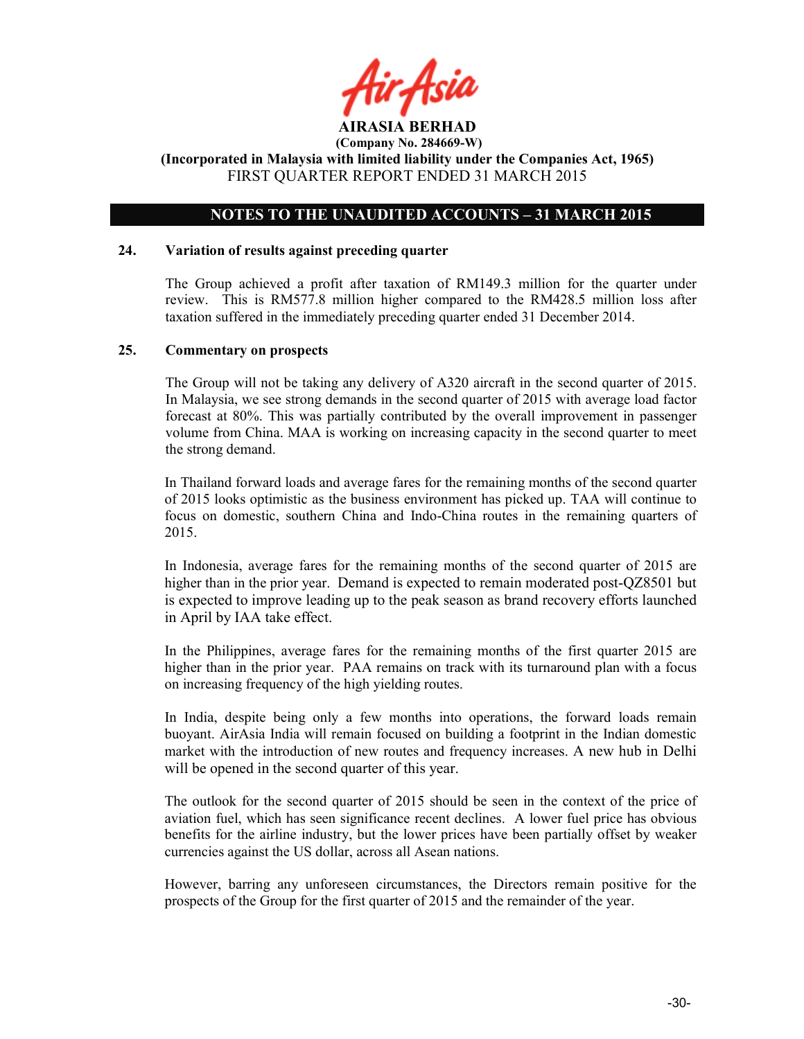

## NOTES TO THE UNAUDITED ACCOUNTS – 31 MARCH 2015

### 24. Variation of results against preceding quarter

The Group achieved a profit after taxation of RM149.3 million for the quarter under review. This is RM577.8 million higher compared to the RM428.5 million loss after taxation suffered in the immediately preceding quarter ended 31 December 2014.

#### 25. Commentary on prospects

The Group will not be taking any delivery of A320 aircraft in the second quarter of 2015. In Malaysia, we see strong demands in the second quarter of 2015 with average load factor forecast at 80%. This was partially contributed by the overall improvement in passenger volume from China. MAA is working on increasing capacity in the second quarter to meet the strong demand.

In Thailand forward loads and average fares for the remaining months of the second quarter of 2015 looks optimistic as the business environment has picked up. TAA will continue to focus on domestic, southern China and Indo-China routes in the remaining quarters of 2015.

In Indonesia, average fares for the remaining months of the second quarter of 2015 are higher than in the prior year. Demand is expected to remain moderated post-QZ8501 but is expected to improve leading up to the peak season as brand recovery efforts launched in April by IAA take effect.

In the Philippines, average fares for the remaining months of the first quarter 2015 are higher than in the prior year. PAA remains on track with its turnaround plan with a focus on increasing frequency of the high yielding routes.

In India, despite being only a few months into operations, the forward loads remain buoyant. AirAsia India will remain focused on building a footprint in the Indian domestic market with the introduction of new routes and frequency increases. A new hub in Delhi will be opened in the second quarter of this year.

The outlook for the second quarter of 2015 should be seen in the context of the price of aviation fuel, which has seen significance recent declines. A lower fuel price has obvious benefits for the airline industry, but the lower prices have been partially offset by weaker currencies against the US dollar, across all Asean nations.

However, barring any unforeseen circumstances, the Directors remain positive for the prospects of the Group for the first quarter of 2015 and the remainder of the year.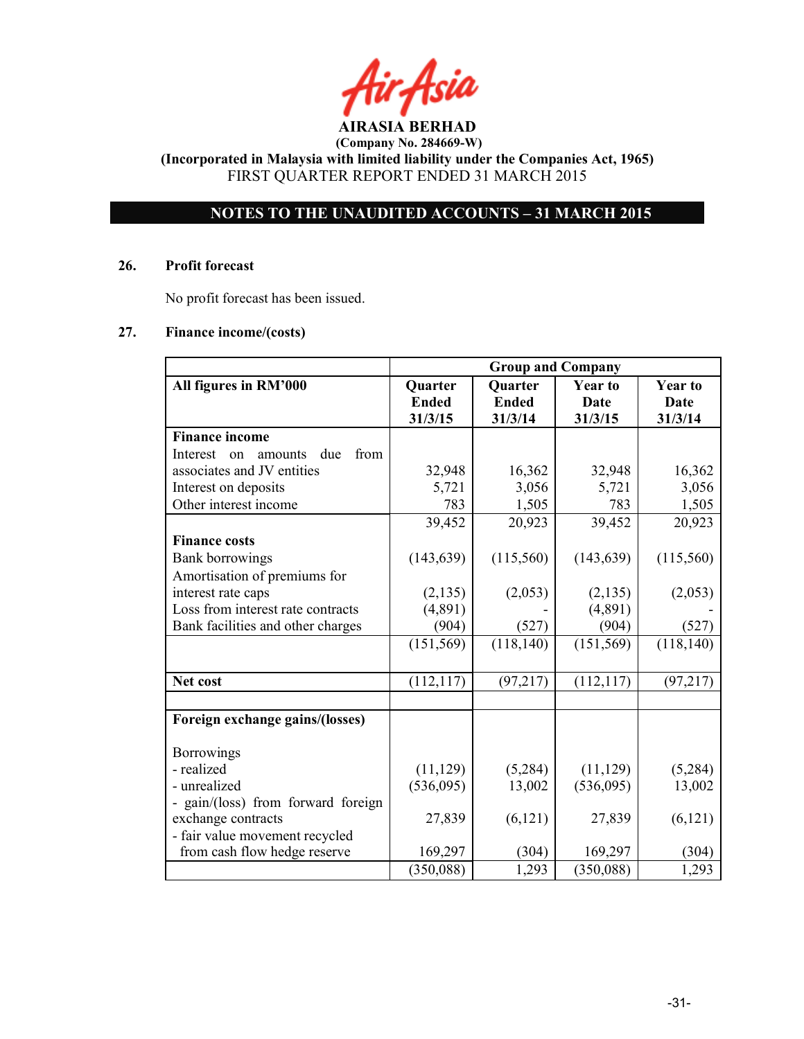# NOTES TO THE UNAUDITED ACCOUNTS – 31 MARCH 2015

#### 26. Profit forecast

No profit forecast has been issued.

### 27. Finance income/(costs)

|                                          | <b>Group and Company</b>                                      |              |            |            |
|------------------------------------------|---------------------------------------------------------------|--------------|------------|------------|
| All figures in RM'000                    | <b>Year to</b><br><b>Quarter</b><br><b>Year to</b><br>Quarter |              |            |            |
|                                          | <b>Ended</b>                                                  | <b>Ended</b> | Date       | Date       |
|                                          | 31/3/15                                                       | 31/3/14      | 31/3/15    | 31/3/14    |
| <b>Finance income</b>                    |                                                               |              |            |            |
| due<br>from<br>Interest<br>amounts<br>on |                                                               |              |            |            |
| associates and JV entities               | 32,948                                                        | 16,362       | 32,948     | 16,362     |
| Interest on deposits                     | 5,721                                                         | 3,056        | 5,721      | 3,056      |
| Other interest income                    | 783                                                           | 1,505        | 783        | 1,505      |
|                                          | 39,452                                                        | 20,923       | 39,452     | 20,923     |
| <b>Finance costs</b>                     |                                                               |              |            |            |
| <b>Bank borrowings</b>                   | (143, 639)                                                    | (115,560)    | (143, 639) | (115,560)  |
| Amortisation of premiums for             |                                                               |              |            |            |
| interest rate caps                       | (2, 135)                                                      | (2,053)      | (2, 135)   | (2,053)    |
| Loss from interest rate contracts        | (4,891)                                                       |              | (4,891)    |            |
| Bank facilities and other charges        | (904)                                                         | (527)        | (904)      | (527)      |
|                                          | (151, 569)                                                    | (118, 140)   | (151, 569) | (118, 140) |
|                                          |                                                               |              |            |            |
| Net cost                                 | (112, 117)                                                    | (97, 217)    | (112, 117) | (97, 217)  |
|                                          |                                                               |              |            |            |
| Foreign exchange gains/(losses)          |                                                               |              |            |            |
| <b>Borrowings</b>                        |                                                               |              |            |            |
| - realized                               | (11, 129)                                                     | (5,284)      | (11, 129)  | (5,284)    |
| - unrealized                             | (536,095)                                                     | 13,002       | (536,095)  | 13,002     |
| - gain/(loss) from forward foreign       |                                                               |              |            |            |
| exchange contracts                       | 27,839                                                        | (6,121)      | 27,839     | (6,121)    |
| - fair value movement recycled           |                                                               |              |            |            |
| from cash flow hedge reserve             | 169,297                                                       | (304)        | 169,297    | (304)      |
|                                          | (350,088)                                                     | 1,293        | (350,088)  | 1,293      |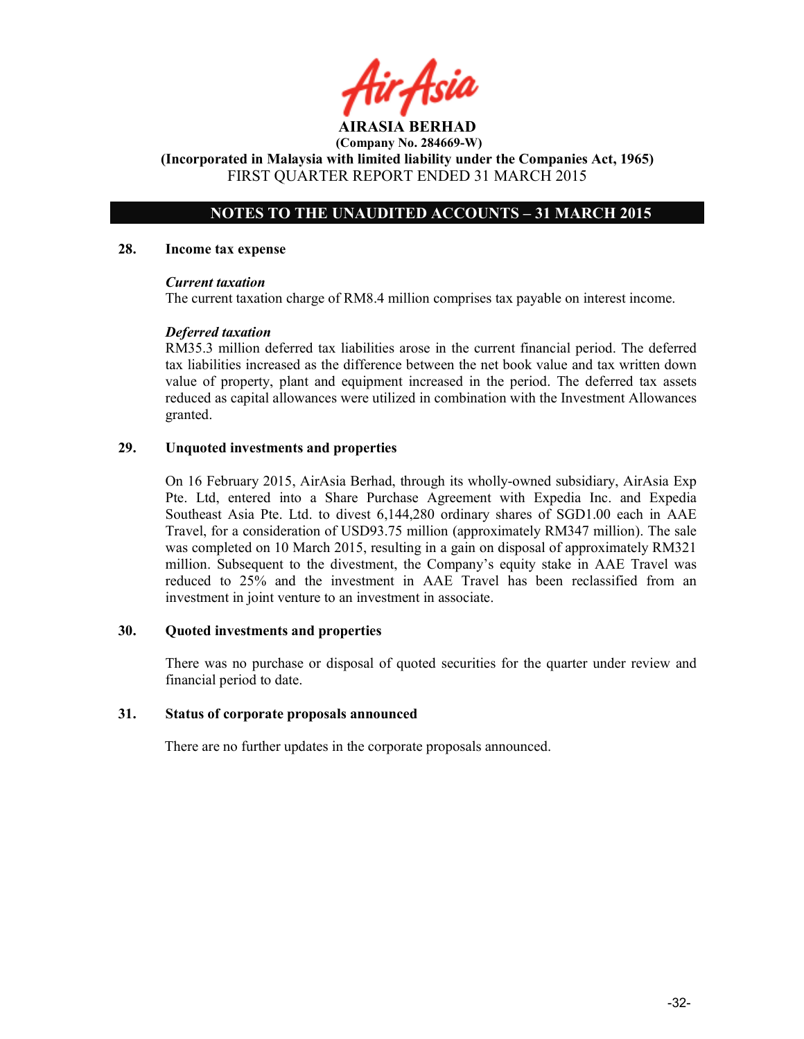# NOTES TO THE UNAUDITED ACCOUNTS – 31 MARCH 2015

#### 28. Income tax expense

#### Current taxation

The current taxation charge of RM8.4 million comprises tax payable on interest income.

### Deferred taxation

RM35.3 million deferred tax liabilities arose in the current financial period. The deferred tax liabilities increased as the difference between the net book value and tax written down value of property, plant and equipment increased in the period. The deferred tax assets reduced as capital allowances were utilized in combination with the Investment Allowances granted.

### 29. Unquoted investments and properties

On 16 February 2015, AirAsia Berhad, through its wholly-owned subsidiary, AirAsia Exp Pte. Ltd, entered into a Share Purchase Agreement with Expedia Inc. and Expedia Southeast Asia Pte. Ltd. to divest 6,144,280 ordinary shares of SGD1.00 each in AAE Travel, for a consideration of USD93.75 million (approximately RM347 million). The sale was completed on 10 March 2015, resulting in a gain on disposal of approximately RM321 million. Subsequent to the divestment, the Company's equity stake in AAE Travel was reduced to 25% and the investment in AAE Travel has been reclassified from an investment in joint venture to an investment in associate.

### 30. Quoted investments and properties

There was no purchase or disposal of quoted securities for the quarter under review and financial period to date.

### 31. Status of corporate proposals announced

There are no further updates in the corporate proposals announced.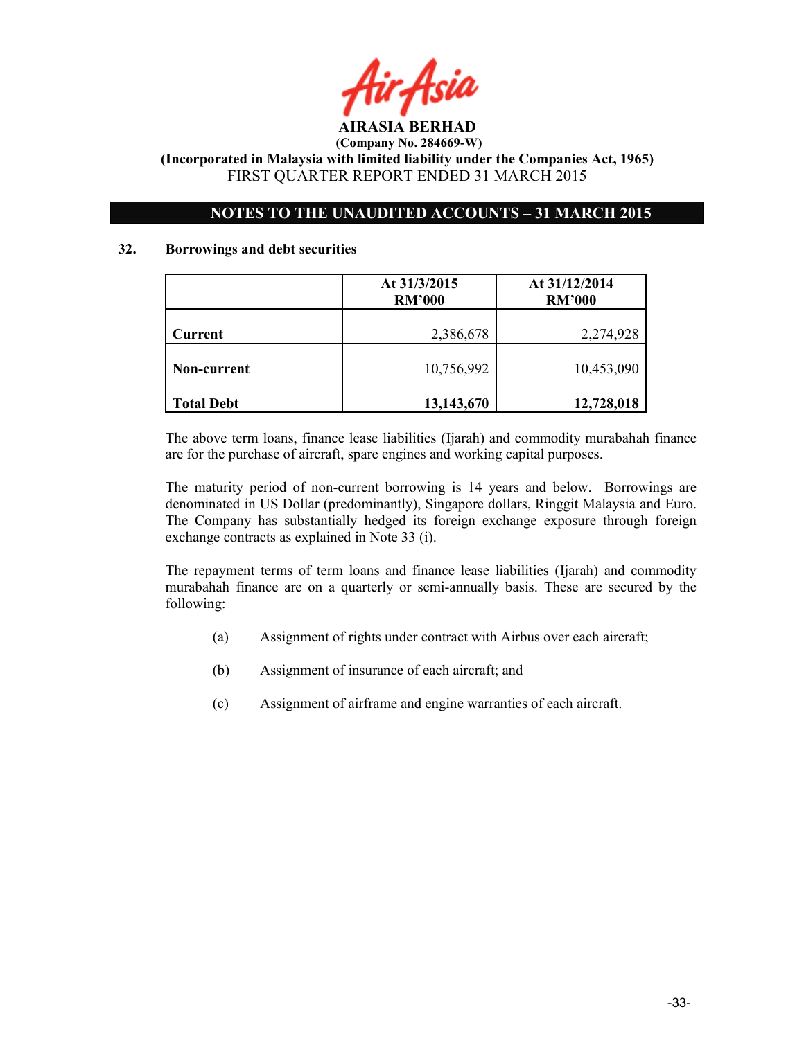

# NOTES TO THE UNAUDITED ACCOUNTS – 31 MARCH 2015

### 32. Borrowings and debt securities

|                   | At 31/3/2015<br><b>RM'000</b> | At 31/12/2014<br><b>RM'000</b> |
|-------------------|-------------------------------|--------------------------------|
| <b>Current</b>    | 2,386,678                     | 2,274,928                      |
| Non-current       | 10,756,992                    | 10,453,090                     |
| <b>Total Debt</b> | 13,143,670                    | 12,728,018                     |

The above term loans, finance lease liabilities (Ijarah) and commodity murabahah finance are for the purchase of aircraft, spare engines and working capital purposes.

The maturity period of non-current borrowing is 14 years and below. Borrowings are denominated in US Dollar (predominantly), Singapore dollars, Ringgit Malaysia and Euro. The Company has substantially hedged its foreign exchange exposure through foreign exchange contracts as explained in Note 33 (i).

The repayment terms of term loans and finance lease liabilities (Ijarah) and commodity murabahah finance are on a quarterly or semi-annually basis. These are secured by the following:

- (a) Assignment of rights under contract with Airbus over each aircraft;
- (b) Assignment of insurance of each aircraft; and
- (c) Assignment of airframe and engine warranties of each aircraft.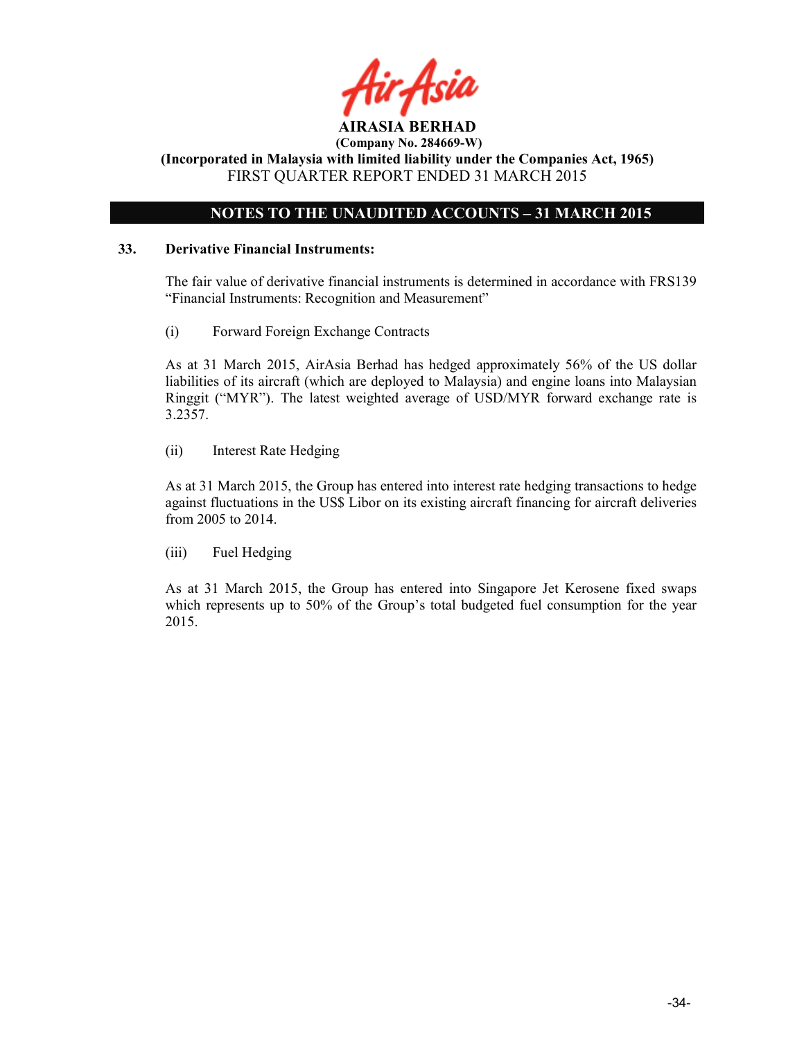

# NOTES TO THE UNAUDITED ACCOUNTS – 31 MARCH 2015

### 33. Derivative Financial Instruments:

The fair value of derivative financial instruments is determined in accordance with FRS139 "Financial Instruments: Recognition and Measurement"

(i) Forward Foreign Exchange Contracts

As at 31 March 2015, AirAsia Berhad has hedged approximately 56% of the US dollar liabilities of its aircraft (which are deployed to Malaysia) and engine loans into Malaysian Ringgit ("MYR"). The latest weighted average of USD/MYR forward exchange rate is 3.2357.

(ii) Interest Rate Hedging

As at 31 March 2015, the Group has entered into interest rate hedging transactions to hedge against fluctuations in the US\$ Libor on its existing aircraft financing for aircraft deliveries from 2005 to 2014.

(iii) Fuel Hedging

As at 31 March 2015, the Group has entered into Singapore Jet Kerosene fixed swaps which represents up to 50% of the Group's total budgeted fuel consumption for the year 2015.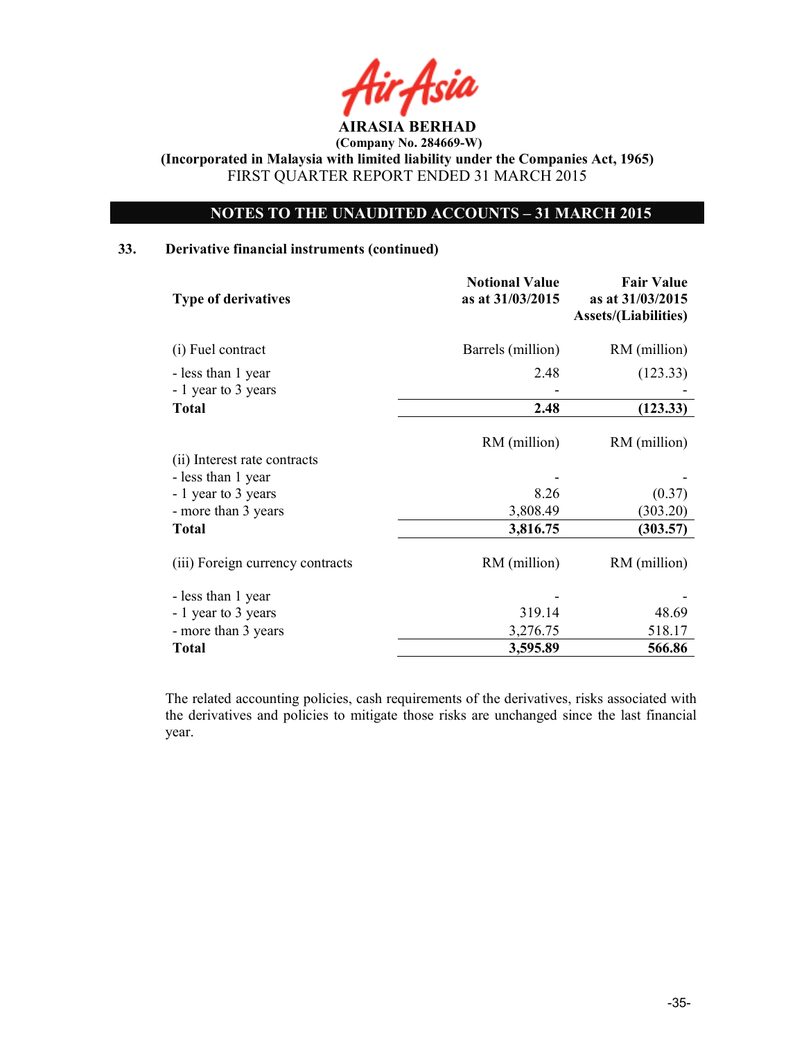AIRASIA BERHAD

# NOTES TO THE UNAUDITED ACCOUNTS – 31 MARCH 2015

### 33. Derivative financial instruments (continued)

| <b>Type of derivatives</b>       | <b>Notional Value</b><br>as at 31/03/2015 | <b>Fair Value</b><br>as at 31/03/2015<br><b>Assets/(Liabilities)</b> |
|----------------------------------|-------------------------------------------|----------------------------------------------------------------------|
| (i) Fuel contract                | Barrels (million)                         | RM (million)                                                         |
| - less than 1 year               | 2.48                                      | (123.33)                                                             |
| - 1 year to 3 years              |                                           |                                                                      |
| <b>Total</b>                     | 2.48                                      | (123.33)                                                             |
| (ii) Interest rate contracts     | RM (million)                              | RM (million)                                                         |
| - less than 1 year               |                                           |                                                                      |
| - 1 year to 3 years              | 8.26                                      | (0.37)                                                               |
| - more than 3 years              | 3,808.49                                  | (303.20)                                                             |
| <b>Total</b>                     | 3,816.75                                  | (303.57)                                                             |
| (iii) Foreign currency contracts | RM (million)                              | RM (million)                                                         |
| - less than 1 year               |                                           |                                                                      |
| - 1 year to 3 years              | 319.14                                    | 48.69                                                                |
| - more than 3 years              | 3,276.75                                  | 518.17                                                               |
| <b>Total</b>                     | 3,595.89                                  | 566.86                                                               |

The related accounting policies, cash requirements of the derivatives, risks associated with the derivatives and policies to mitigate those risks are unchanged since the last financial year.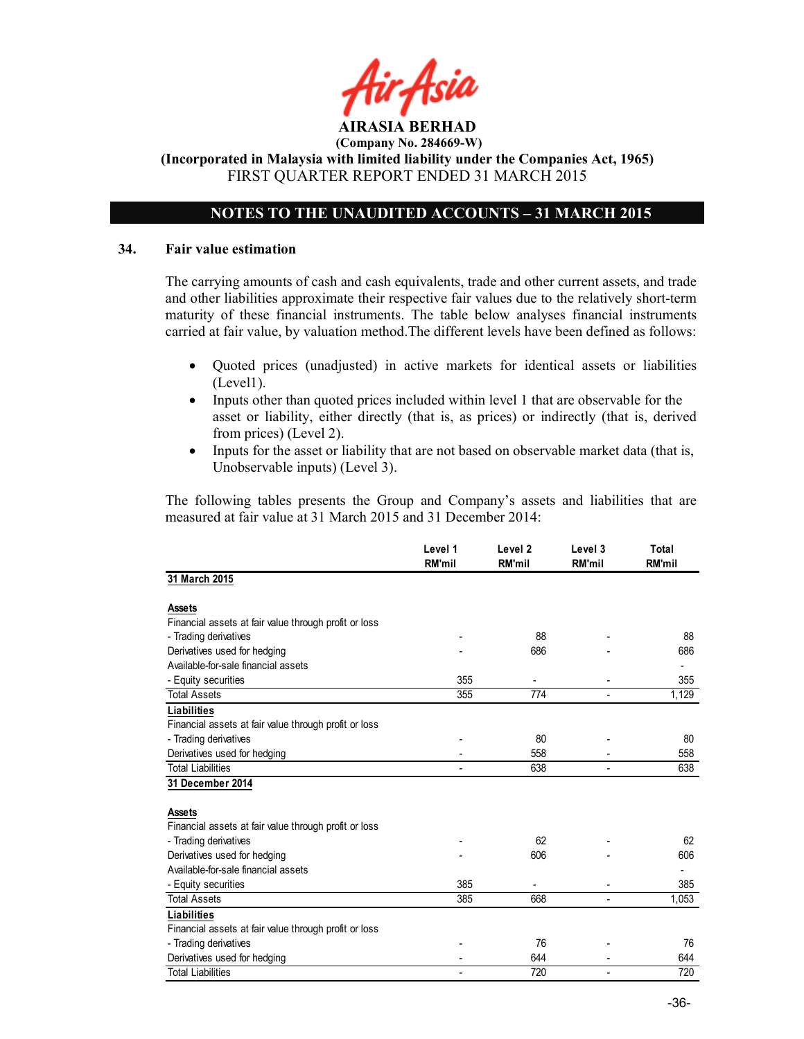# NOTES TO THE UNAUDITED ACCOUNTS – 31 MARCH 2015

#### 34. Fair value estimation

The carrying amounts of cash and cash equivalents, trade and other current assets, and trade and other liabilities approximate their respective fair values due to the relatively short-term maturity of these financial instruments. The table below analyses financial instruments carried at fair value, by valuation method.The different levels have been defined as follows:

- Quoted prices (unadjusted) in active markets for identical assets or liabilities (Level1).
- Inputs other than quoted prices included within level 1 that are observable for the asset or liability, either directly (that is, as prices) or indirectly (that is, derived from prices) (Level 2).
- Inputs for the asset or liability that are not based on observable market data (that is, Unobservable inputs) (Level 3).

The following tables presents the Group and Company's assets and liabilities that are measured at fair value at 31 March 2015 and 31 December 2014:

|                                                       | Level 1<br><b>RM'mil</b> | Level <sub>2</sub><br><b>RM'mil</b> | Level 3<br>RM'mil        | <b>Total</b><br><b>RM'mil</b> |
|-------------------------------------------------------|--------------------------|-------------------------------------|--------------------------|-------------------------------|
| 31 March 2015                                         |                          |                                     |                          |                               |
| <b>Assets</b>                                         |                          |                                     |                          |                               |
| Financial assets at fair value through profit or loss |                          |                                     |                          |                               |
| - Trading derivatives                                 |                          | 88                                  |                          | 88                            |
| Derivatives used for hedging                          |                          | 686                                 |                          | 686                           |
| Available-for-sale financial assets                   |                          |                                     |                          |                               |
| - Equity securities                                   | 355                      |                                     |                          | 355                           |
| <b>Total Assets</b>                                   | 355                      | 774                                 |                          | 1,129                         |
| <b>Liabilities</b>                                    |                          |                                     |                          |                               |
| Financial assets at fair value through profit or loss |                          |                                     |                          |                               |
| - Trading derivatives                                 |                          | 80                                  |                          | 80                            |
| Derivatives used for hedging                          |                          | 558                                 |                          | 558                           |
| <b>Total Liabilities</b>                              |                          | 638                                 |                          | 638                           |
| 31 December 2014                                      |                          |                                     |                          |                               |
| <b>Assets</b>                                         |                          |                                     |                          |                               |
| Financial assets at fair value through profit or loss |                          |                                     |                          |                               |
| - Trading derivatives                                 |                          | 62                                  |                          | 62                            |
| Derivatives used for hedging                          |                          | 606                                 |                          | 606                           |
| Available-for-sale financial assets                   |                          |                                     |                          |                               |
| - Equity securities                                   | 385                      |                                     |                          | 385                           |
| <b>Total Assets</b>                                   | 385                      | 668                                 |                          | 1,053                         |
| <b>Liabilities</b>                                    |                          |                                     |                          |                               |
| Financial assets at fair value through profit or loss |                          |                                     |                          |                               |
| - Trading derivatives                                 |                          | 76                                  |                          | 76                            |
| Derivatives used for hedging                          |                          | 644                                 |                          | 644                           |
| <b>Total Liabilities</b>                              |                          | 720                                 | $\overline{\phantom{m}}$ | 720                           |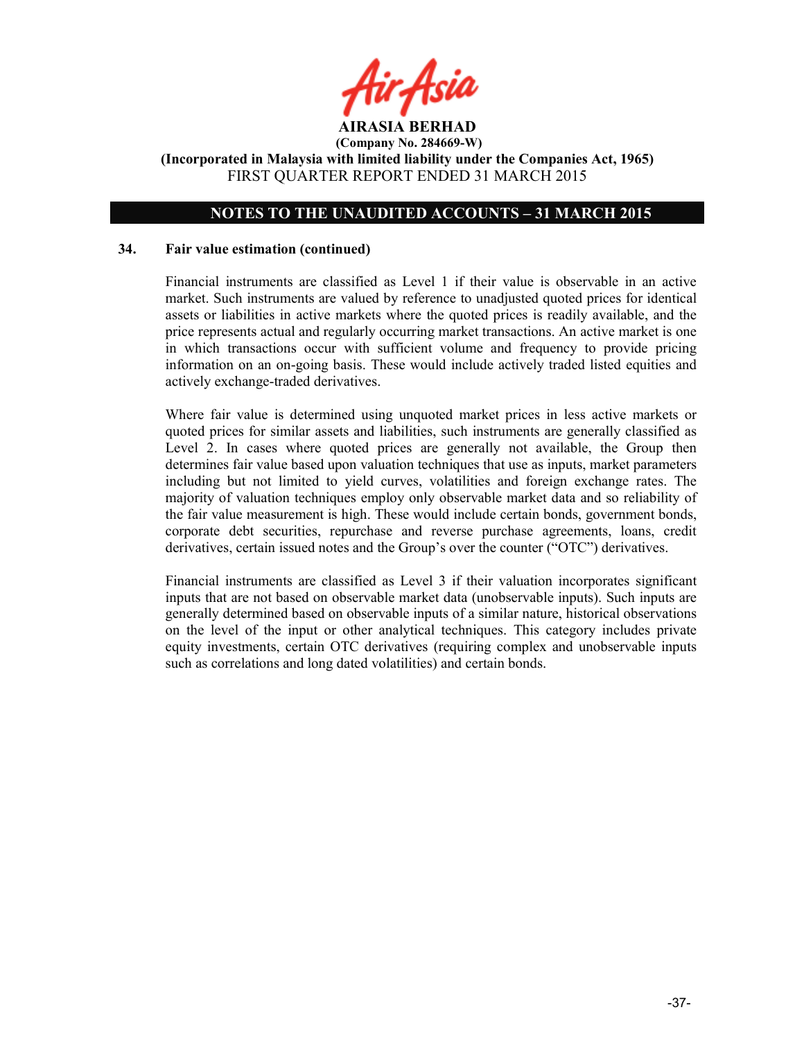

# NOTES TO THE UNAUDITED ACCOUNTS – 31 MARCH 2015

#### 34. Fair value estimation (continued)

Financial instruments are classified as Level 1 if their value is observable in an active market. Such instruments are valued by reference to unadjusted quoted prices for identical assets or liabilities in active markets where the quoted prices is readily available, and the price represents actual and regularly occurring market transactions. An active market is one in which transactions occur with sufficient volume and frequency to provide pricing information on an on-going basis. These would include actively traded listed equities and actively exchange-traded derivatives.

Where fair value is determined using unquoted market prices in less active markets or quoted prices for similar assets and liabilities, such instruments are generally classified as Level 2. In cases where quoted prices are generally not available, the Group then determines fair value based upon valuation techniques that use as inputs, market parameters including but not limited to yield curves, volatilities and foreign exchange rates. The majority of valuation techniques employ only observable market data and so reliability of the fair value measurement is high. These would include certain bonds, government bonds, corporate debt securities, repurchase and reverse purchase agreements, loans, credit derivatives, certain issued notes and the Group's over the counter ("OTC") derivatives.

Financial instruments are classified as Level 3 if their valuation incorporates significant inputs that are not based on observable market data (unobservable inputs). Such inputs are generally determined based on observable inputs of a similar nature, historical observations on the level of the input or other analytical techniques. This category includes private equity investments, certain OTC derivatives (requiring complex and unobservable inputs such as correlations and long dated volatilities) and certain bonds.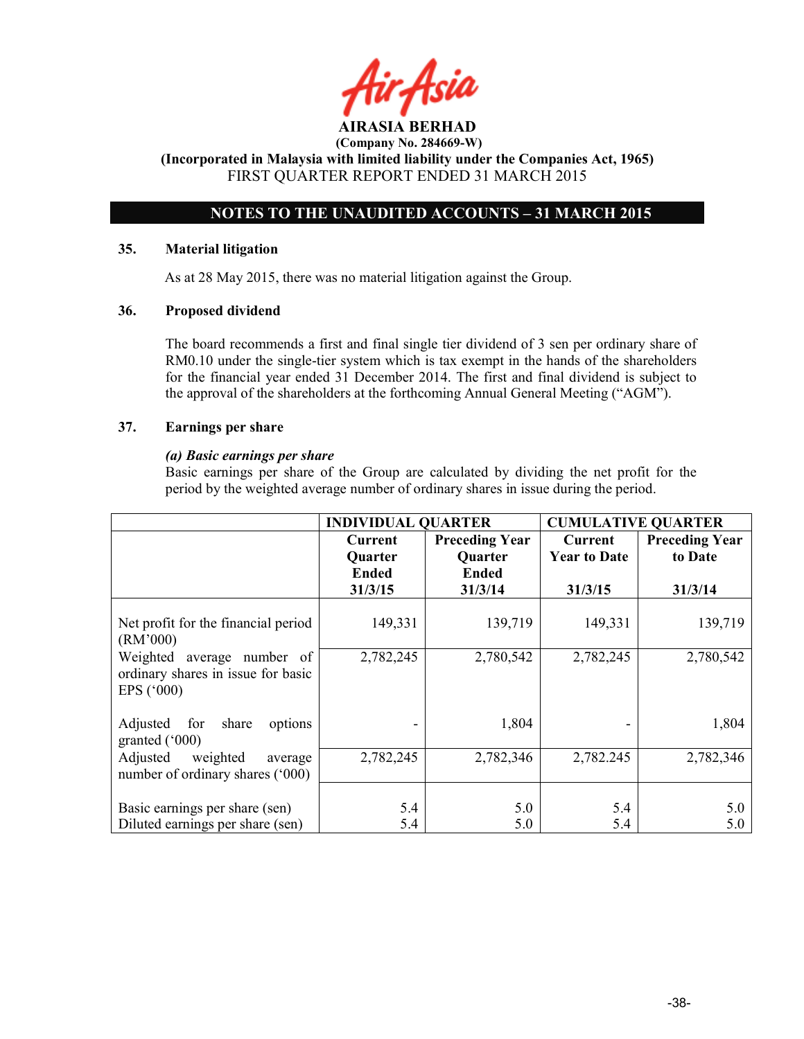# NOTES TO THE UNAUDITED ACCOUNTS – 31 MARCH 2015

### 35. Material litigation

As at 28 May 2015, there was no material litigation against the Group.

### 36. Proposed dividend

The board recommends a first and final single tier dividend of 3 sen per ordinary share of RM0.10 under the single-tier system which is tax exempt in the hands of the shareholders for the financial year ended 31 December 2014. The first and final dividend is subject to the approval of the shareholders at the forthcoming Annual General Meeting ("AGM").

### 37. Earnings per share

### (a) Basic earnings per share

 Basic earnings per share of the Group are calculated by dividing the net profit for the period by the weighted average number of ordinary shares in issue during the period.

|                                                                                            | <b>INDIVIDUAL QUARTER</b>                                   |                                                                    | <b>CUMULATIVE QUARTER</b>                 |                                             |
|--------------------------------------------------------------------------------------------|-------------------------------------------------------------|--------------------------------------------------------------------|-------------------------------------------|---------------------------------------------|
|                                                                                            | <b>Current</b><br><b>Quarter</b><br><b>Ended</b><br>31/3/15 | <b>Preceding Year</b><br><b>Quarter</b><br><b>Ended</b><br>31/3/14 | Current<br><b>Year to Date</b><br>31/3/15 | <b>Preceding Year</b><br>to Date<br>31/3/14 |
| Net profit for the financial period<br>(RM'000)                                            | 149,331                                                     | 139,719                                                            | 149,331                                   | 139,719                                     |
| Weighted<br>average number of<br>ordinary shares in issue for basic<br>EPS $(^{\circ}000)$ | 2,782,245                                                   | 2,780,542                                                          | 2,782,245                                 | 2,780,542                                   |
| for<br>Adjusted<br>share<br>options<br>granted $(000)$                                     |                                                             | 1,804                                                              |                                           | 1,804                                       |
| weighted<br>Adjusted<br>average<br>number of ordinary shares ('000)                        | 2,782,245                                                   | 2,782,346                                                          | 2,782.245                                 | 2,782,346                                   |
| Basic earnings per share (sen)<br>Diluted earnings per share (sen)                         | 5.4<br>5.4                                                  | 5.0<br>5.0                                                         | 5.4<br>5.4                                | 5.0<br>5.0                                  |